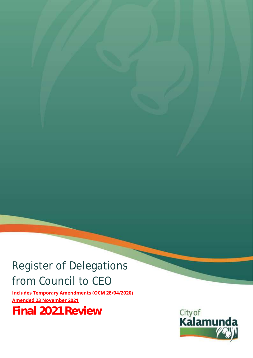# Register of Delegations from Council to CEO

**Includes Temporary Amendments (OCM 28/04/2020) Amended 23 November 2021**

**Final 2021 Review**

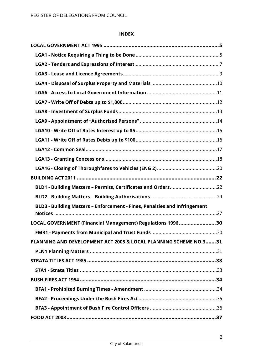### **INDEX**

| BLD1 - Building Matters - Permits, Certificates and Orders22              |  |
|---------------------------------------------------------------------------|--|
|                                                                           |  |
| BLD3 - Building Matters - Enforcement - Fines, Penalties and Infringement |  |
|                                                                           |  |
| LOCAL GOVERNMENT (Financial Management) Regulations 199630                |  |
|                                                                           |  |
| PLANNING AND DEVELOPMENT ACT 2005 & LOCAL PLANNING SCHEME NO.331          |  |
|                                                                           |  |
|                                                                           |  |
|                                                                           |  |
|                                                                           |  |
|                                                                           |  |
|                                                                           |  |
|                                                                           |  |
|                                                                           |  |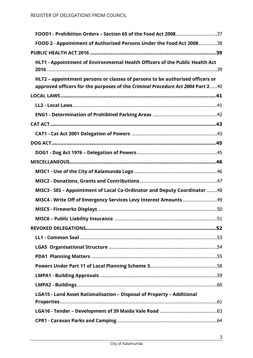| FOOD1 - Prohibition Orders - Section 65 of the Food Act 200837                 |  |
|--------------------------------------------------------------------------------|--|
| FOOD 2 - Appointment of Authorised Persons Under the Food Act 200838           |  |
|                                                                                |  |
| HLT1 - Appointment of Environmental Health Officers of the Public Health Act   |  |
| HLT2 - appointment persons or classes of persons to be authorised officers or  |  |
| approved officers for the purposes of the Criminal Procedure Act 2004 Part 240 |  |
|                                                                                |  |
|                                                                                |  |
|                                                                                |  |
|                                                                                |  |
|                                                                                |  |
|                                                                                |  |
|                                                                                |  |
|                                                                                |  |
|                                                                                |  |
|                                                                                |  |
| MISC3 - SES - Appointment of Local Co-Ordinator and Deputy Coordinator 48      |  |
| MISC4 - Write Off of Emergency Services Levy Interest Amounts 49               |  |
|                                                                                |  |
|                                                                                |  |
|                                                                                |  |
|                                                                                |  |
|                                                                                |  |
|                                                                                |  |
|                                                                                |  |
|                                                                                |  |
|                                                                                |  |
| LGA15 - Land Asset Rationalisation - Disposal of Property - Additional         |  |
|                                                                                |  |
|                                                                                |  |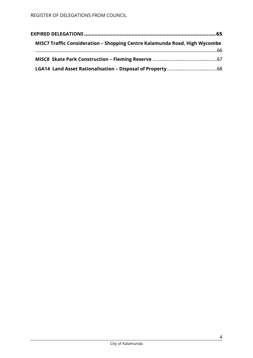| MISC7 Traffic Consideration - Shopping Centre Kalamunda Road, High Wycombe |  |
|----------------------------------------------------------------------------|--|
|                                                                            |  |
|                                                                            |  |
|                                                                            |  |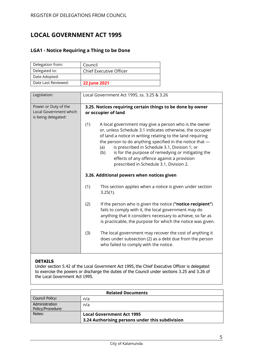# <span id="page-4-0"></span>**LOCAL GOVERNMENT ACT 1995**

## <span id="page-4-1"></span>**LGA1 - Notice Requiring a Thing to be Done**

| Delegation from:    | Council                        |
|---------------------|--------------------------------|
| Delegated to:       | <b>Chief Executive Officer</b> |
| Date Adopted:       |                                |
| Date Last Reviewed: | <b>22 June 2021</b>            |

| Legislation:                                                          | Local Government Act 1995, ss. 3.25 & 3.26                                                                                                                                                                                                                                                                                                                                                                                                                       |  |
|-----------------------------------------------------------------------|------------------------------------------------------------------------------------------------------------------------------------------------------------------------------------------------------------------------------------------------------------------------------------------------------------------------------------------------------------------------------------------------------------------------------------------------------------------|--|
| Power or Duty of the<br>Local Government which<br>is being delegated: | 3.25. Notices requiring certain things to be done by owner<br>or occupier of land                                                                                                                                                                                                                                                                                                                                                                                |  |
|                                                                       | (1)<br>A local government may give a person who is the owner<br>or, unless Schedule 3.1 indicates otherwise, the occupier<br>of land a notice in writing relating to the land requiring<br>the person to do anything specified in the notice that -<br>is prescribed in Schedule 3.1, Division 1; or<br>(a)<br>is for the purpose of remedying or mitigating the<br>(b)<br>effects of any offence against a provision<br>prescribed in Schedule 3.1, Division 2. |  |
|                                                                       | 3.26. Additional powers when notices given                                                                                                                                                                                                                                                                                                                                                                                                                       |  |
|                                                                       | (1)<br>This section applies when a notice is given under section<br>$3.25(1)$ .                                                                                                                                                                                                                                                                                                                                                                                  |  |
|                                                                       | (2)<br>If the person who is given the notice ("notice recipient")<br>fails to comply with it, the local government may do<br>anything that it considers necessary to achieve, so far as<br>is practicable, the purpose for which the notice was given.                                                                                                                                                                                                           |  |
|                                                                       | The local government may recover the cost of anything it<br>(3)<br>does under subsection (2) as a debt due from the person<br>who failed to comply with the notice.                                                                                                                                                                                                                                                                                              |  |

### **DETAILS**

Under section 5.42 of the Local Government Act 1995, the Chief Executive Officer is delegated to exercise the powers or discharge the duties of the Council under sections 3.25 and 3.26 of the Local Government Act 1995.

| <b>Related Documents</b>            |                                                 |
|-------------------------------------|-------------------------------------------------|
| Council Policy:                     | n/a                                             |
| Administration<br>Policy/Procedure: | n/a                                             |
| Notes:                              | <b>Local Government Act 1995</b>                |
|                                     | 3.24 Authorising persons under this subdivision |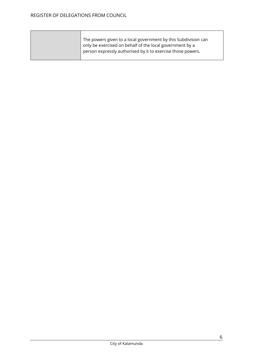| The powers given to a local government by this Subdivision can |
|----------------------------------------------------------------|
| only be exercised on behalf of the local government by a       |
| person expressly authorised by it to exercise those powers.    |
|                                                                |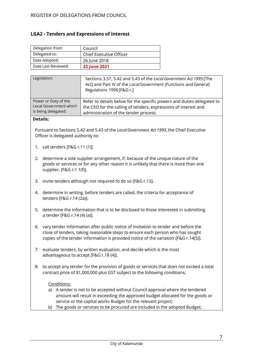### <span id="page-6-0"></span>**LGA2 - Tenders and Expressions of Interest**

| Delegation from:    | Council                 |
|---------------------|-------------------------|
| Delegated to:       | Chief Executive Officer |
| Date Adopted:       | 26 June 2018            |
| Date Last Reviewed: | <b>22 June 2021</b>     |

| Legislation:           | Sections 3.57, 5.42 and 5.43 of the Local Government Act 1995 [The<br>Act] and Part IV of the Local Government (Functions and General)<br>Regulations 1996 [F&G r.] |
|------------------------|---------------------------------------------------------------------------------------------------------------------------------------------------------------------|
| Power or Duty of the   | Refer to details below for the specific powers and duties delegated to                                                                                              |
| Local Government which | the CEO for the calling of tenders, expressions of interest and                                                                                                     |
| is being delegated:    | administration of the tender process.                                                                                                                               |

### **Details:**

Pursuant to Sections 5.42 and 5.43 of the *LocalGovernment Act 1995*,the Chief Executive Officer is delegated authority to:

- 1. call tenders [F&G r.11 (1)].
- 2. determine a sole supplier arrangement, if, because of the unique nature of the goods or services or for any other reason it is unlikely that there is more than one supplier, [F&G r.1 1(f)].
- 3. invite tenders although not required to do so [F&G r.13].
- 4. determine in writing, before tenders are called, the criteria for acceptance of tenders [F&G r.14 (2a)].
- 5. determine the information that is to be disclosed to those interested in submitting a tender [F&G r.14 (4) (a)].
- 6. vary tender information after public notice of invitation to tender and before the close of tenders, taking reasonable steps to ensure each person who has sought copies of the tender information is provided notice of the variation [F&G r.14(5)].
- 7. evaluate tenders, by written evaluation, and decide which is the most advantageous to accept [F&G r.18 (4)].
- 8. to accept any tender for the provision of goods or services that does not exceed a total contract price of \$1,000,000 plus GST subject to the following conditions;

#### Conditions:

- a) A tender is not to be accepted without Council approval where the tendered amount will result in exceeding the approved budget allocated for the goods or service or the capital works Budget for the relevant project;
- b) The goods or services to be procured are included in the adopted Budget;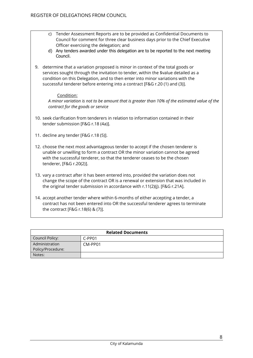- c) Tender Assessment Reports are to be provided as Confidential Documents to Council for comment for three clear business days prior to the Chief Executive Officer exercising the delegation; and
- d) Any tenders awarded under this delegation are to be reported to the next meeting Council.
- 9. determine that a variation proposed is minor in context of the total goods or services sought through the invitation to tender, within the \$value detailed as a condition on this Delegation, and to then enter into minor variations with the successful tenderer before entering into a contract [F&G r.20 (1) and (3)].

### Condition:

*A minor variation is not to be amount that is greater than 10% of the estimated value of the contract for the goods or service*

- 10. seek clarification from tenderers in relation to information contained in their tender submission [F&G r.18 (4a)].
- 11. decline any tender [F&G r.18 (5)].
- 12. choose the next most advantageous tender to accept if the chosen tenderer is unable or unwilling to form a contract OR the minor variation cannot be agreed with the successful tenderer, so that the tenderer ceases to be the chosen tenderer, [F&G r.20(2)].
- 13. vary a contract after it has been entered into, provided the variation does not change the scope of the contract OR is a renewal or extension that was included in the original tender submission in accordance with r.11(2)(j). [F&G r.21A].
- 14. accept another tender where within 6-months of either accepting a tender, a contract has not been entered into OR the successful tenderer agrees to terminate the contract [F&G r.18(6) & (7)].

| <b>Related Documents</b> |         |
|--------------------------|---------|
| Council Policy:          | C-PP01  |
| Administration           | CM-PP01 |
| Policy/Procedure:        |         |
| Notes:                   |         |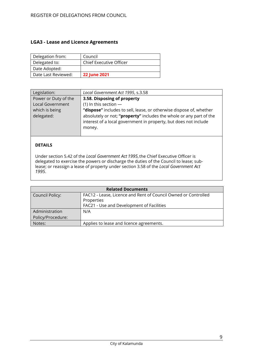### <span id="page-8-0"></span>**LGA3 - Lease and Licence Agreements**

| Delegation from:    | Council                 |
|---------------------|-------------------------|
| Delegated to:       | Chief Executive Officer |
| Date Adopted:       |                         |
| Date Last Reviewed: | <b>22 June 2021</b>     |

| Legislation:            | Local Government Act 1995, s.3.58                                   |
|-------------------------|---------------------------------------------------------------------|
| Power or Duty of the    | 3.58. Disposing of property                                         |
| <b>Local Government</b> | (1) In this section $-$                                             |
| which is being          | "dispose" includes to sell, lease, or otherwise dispose of, whether |
| delegated:              | absolutely or not; "property" includes the whole or any part of the |
|                         | interest of a local government in property, but does not include    |
|                         | money.                                                              |
|                         |                                                                     |

### **DETAILS**

Under section 5.42 of the *Local Government Act 1995*,the Chief Executive Officer is delegated to exercise the powers or discharge the duties of the Council to lease; sublease; or reassign a lease of property under section 3.58 of the *Local Government Act 1995*.

| <b>Related Documents</b> |                                                                |  |
|--------------------------|----------------------------------------------------------------|--|
| Council Policy:          | FAC12 - Lease, Licence and Rent of Council Owned or Controlled |  |
|                          | Properties                                                     |  |
|                          | FAC21 - Use and Development of Facilities                      |  |
| Administration           | N/A                                                            |  |
| Policy/Procedure:        |                                                                |  |
| Notes:                   | Applies to lease and licence agreements.                       |  |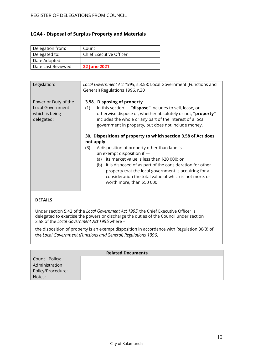# <span id="page-9-0"></span>**LGA4 - Disposal of Surplus Property and Materials**

| Delegation from:    | Council                 |
|---------------------|-------------------------|
| Delegated to:       | Chief Executive Officer |
| Date Adopted:       |                         |
| Date Last Reviewed: | <b>22 June 2021</b>     |

| Legislation:                                                             | Local Government Act 1995, s.3.58; Local Government (Functions and<br>General) Regulations 1996, r.30                                                                                                                                                                                                                                                                                                                                                                                                                                                                                                                                                                                                                           |
|--------------------------------------------------------------------------|---------------------------------------------------------------------------------------------------------------------------------------------------------------------------------------------------------------------------------------------------------------------------------------------------------------------------------------------------------------------------------------------------------------------------------------------------------------------------------------------------------------------------------------------------------------------------------------------------------------------------------------------------------------------------------------------------------------------------------|
| Power or Duty of the<br>Local Government<br>which is being<br>delegated: | 3.58. Disposing of property<br>In this section $-$ "dispose" includes to sell, lease, or<br>(1)<br>otherwise dispose of, whether absolutely or not; "property"<br>includes the whole or any part of the interest of a local<br>government in property, but does not include money.<br>30. Dispositions of property to which section 3.58 of Act does<br>not apply<br>A disposition of property other than land is<br>(3)<br>an exempt disposition if -<br>its market value is less than \$20 000; or<br>(a)<br>it is disposed of as part of the consideration for other<br>(b)<br>property that the local government is acquiring for a<br>consideration the total value of which is not more, or<br>worth more, than \$50 000. |

### **DETAILS**

Under section 5.42 of the *Local Government Act 1995*,the Chief Executive Officer is delegated to exercise the powers or discharge the duties of the Council under section 3.58 of the *Local Government Act 1995*where –

the disposition of property is an exempt disposition in accordance with Regulation 30(3) of the *Local Government (Functions andGeneral) Regulations 1996*.

| <b>Related Documents</b> |  |
|--------------------------|--|
| <b>Council Policy:</b>   |  |
| Administration           |  |
| Policy/Procedure:        |  |
| Notes:                   |  |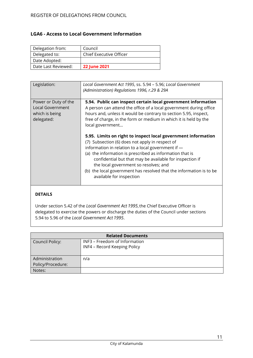### <span id="page-10-0"></span>**LGA6 - Access to Local Government Information**

| Delegation from:    | Council                        |
|---------------------|--------------------------------|
| Delegated to:       | <b>Chief Executive Officer</b> |
| Date Adopted:       |                                |
| Date Last Reviewed: | <b>22 June 2021</b>            |

| Legislation:                                                             | Local Government Act 1995, ss. 5.94 - 5.96; Local Government<br>(Administration) Regulations 1996, r.29 & 29A                                                                                                                                                                                                                                                                                                                                                                                                                                                                                                                                                                                                                                 |
|--------------------------------------------------------------------------|-----------------------------------------------------------------------------------------------------------------------------------------------------------------------------------------------------------------------------------------------------------------------------------------------------------------------------------------------------------------------------------------------------------------------------------------------------------------------------------------------------------------------------------------------------------------------------------------------------------------------------------------------------------------------------------------------------------------------------------------------|
| Power or Duty of the<br>Local Government<br>which is being<br>delegated: | 5.94. Public can inspect certain local government information<br>A person can attend the office of a local government during office<br>hours and, unless it would be contrary to section 5.95, inspect,<br>free of charge, in the form or medium in which it is held by the<br>local government<br>5.95. Limits on right to inspect local government information<br>(7) Subsection (6) does not apply in respect of<br>information in relation to a local government if -<br>(a) the information is prescribed as information that is<br>confidential but that may be available for inspection if<br>the local government so resolves; and<br>(b) the local government has resolved that the information is to be<br>available for inspection |

# **DETAILS**

Under section 5.42 of the *Local Government Act 1995*,the Chief Executive Officer is delegated to exercise the powers or discharge the duties of the Council under sections 5.94 to 5.96 of the *Local Government Act 1995*.

| <b>Related Documents</b> |                               |
|--------------------------|-------------------------------|
| <b>Council Policy:</b>   | INF3 - Freedom of Information |
|                          | INF4 - Record Keeping Policy  |
|                          |                               |
| Administration           | n/a                           |
| Policy/Procedure:        |                               |
| Notes:                   |                               |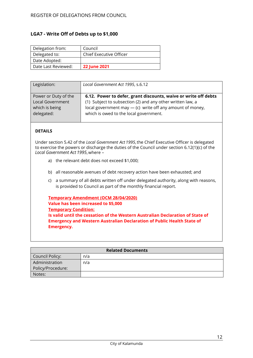### <span id="page-11-0"></span>**LGA7 - Write Off of Debts up to \$1,000**

| Delegation from:    | Council                 |
|---------------------|-------------------------|
| Delegated to:       | Chief Executive Officer |
| Date Adopted:       |                         |
| Date Last Reviewed: | <b>22 June 2021</b>     |

| Legislation:         | Local Government Act 1995, s.6.12                               |
|----------------------|-----------------------------------------------------------------|
| Power or Duty of the | 6.12. Power to defer, grant discounts, waive or write off debts |
| Local Government     | (1) Subject to subsection (2) and any other written law, a      |
| which is being       | local government may $-$ (c) write off any amount of money,     |
| delegated:           | which is owed to the local government.                          |

### **DETAILS**

Under section 5.42 of the *Local Government Act 1995*,the Chief Executive Officer is delegated to exercise the powers or discharge the duties of the Council under section 6.12(1)(c) of the *Local Government Act 1995*,where –

- a) the relevant debt does not exceed \$1,000;
- b) all reasonable avenues of debt recovery action have been exhausted; and
- c) a summary of all debts written off under delegated authority, along with reasons, is provided to Council as part of the monthly financial report.

**Temporary Amendment (OCM 28/04/2020) Value has been increased to \$5,000 Temporary Condition: Is valid until the cessation of the Western Australian Declaration of State of Emergency and Western Australian Declaration of Public Health State of Emergency.**

| <b>Related Documents</b> |     |
|--------------------------|-----|
| Council Policy:          | n/a |
| Administration           | n/a |
| Policy/Procedure:        |     |
| Notes:                   |     |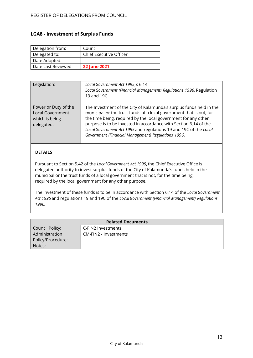### <span id="page-12-0"></span>**LGA8 - Investment of Surplus Funds**

| Delegation from:    | Council                        |
|---------------------|--------------------------------|
| Delegated to:       | <b>Chief Executive Officer</b> |
| Date Adopted:       |                                |
| Date Last Reviewed: | <b>22 June 2021</b>            |

| Legislation:                                                                    | Local Government Act 1995, s 6.14<br>Local Government (Financial Management) Regulations 1996, Regulation<br>19 and 19C                                                                                                                                                                                                                                                                                      |
|---------------------------------------------------------------------------------|--------------------------------------------------------------------------------------------------------------------------------------------------------------------------------------------------------------------------------------------------------------------------------------------------------------------------------------------------------------------------------------------------------------|
| Power or Duty of the<br><b>Local Government</b><br>which is being<br>delegated: | The Investment of the City of Kalamunda's surplus funds held in the<br>municipal or the trust funds of a local government that is not, for<br>the time being, required by the local government for any other<br>purpose is to be invested in accordance with Section 6.14 of the<br>Local Government Act 1995 and regulations 19 and 19C of the Local<br>Government (Financial Management) Regulations 1996. |

### **DETAILS**

Pursuant to Section 5.42 of the *LocalGovernment Act 1995*,the Chief Executive Office is delegated authority to invest surplus funds of the City of Kalamunda's funds held in the municipal or the trust funds of a local government that is not, for the time being, required by the local government for any other purpose.

The investment of these funds is to be in accordance with Section 6.14 of the *LocalGovernment Act 1995* and regulations 19 and 19C of the *LocalGovernment (Financial Management) Regulations 1996.*

| <b>Related Documents</b> |                       |
|--------------------------|-----------------------|
| Council Policy:          | C-FIN2 Investments    |
| Administration           | CM-FIN2 - Investments |
| Policy/Procedure:        |                       |
| Notes:                   |                       |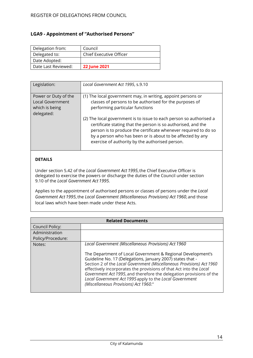# <span id="page-13-0"></span>**LGA9 - Appointment of "Authorised Persons"**

| Delegation from:    | Council                        |
|---------------------|--------------------------------|
| Delegated to:       | <b>Chief Executive Officer</b> |
| Date Adopted:       |                                |
| Date Last Reviewed: | <b>22 June 2021</b>            |

| Legislation:                                                                    | Local Government Act 1995, s.9.10                                                                                                                                                                                                                                                                                        |
|---------------------------------------------------------------------------------|--------------------------------------------------------------------------------------------------------------------------------------------------------------------------------------------------------------------------------------------------------------------------------------------------------------------------|
| Power or Duty of the<br><b>Local Government</b><br>which is being<br>delegated: | (1) The local government may, in writing, appoint persons or<br>classes of persons to be authorised for the purposes of<br>performing particular functions                                                                                                                                                               |
|                                                                                 | (2) The local government is to issue to each person so authorised a<br>certificate stating that the person is so authorised, and the<br>person is to produce the certificate whenever required to do so<br>by a person who has been or is about to be affected by any<br>exercise of authority by the authorised person. |

### **DETAILS**

Under section 5.42 of the *Local Government Act 1995*,the Chief Executive Officer is delegated to exercise the powers or discharge the duties of the Council under section 9.10 of the *Local Government Act 1995.*

Applies to the appointment of authorised persons or classes of persons under the *Local Government Act 1995*,the *Local Government (Miscellaneous Provisions) Act 1960*, and those local laws which have been made under these Acts.

| <b>Related Documents</b> |                                                                                                                                                                                                                                                                                                                                                                                                                                                     |
|--------------------------|-----------------------------------------------------------------------------------------------------------------------------------------------------------------------------------------------------------------------------------------------------------------------------------------------------------------------------------------------------------------------------------------------------------------------------------------------------|
| Council Policy:          |                                                                                                                                                                                                                                                                                                                                                                                                                                                     |
| Administration           |                                                                                                                                                                                                                                                                                                                                                                                                                                                     |
| Policy/Procedure:        |                                                                                                                                                                                                                                                                                                                                                                                                                                                     |
| Notes:                   | Local Government (Miscellaneous Provisions) Act 1960                                                                                                                                                                                                                                                                                                                                                                                                |
|                          | The Department of Local Government & Regional Development's<br>Guideline No. 17 (Delegations, January 2007) states that -<br>Section 2 of the Local Government (Miscellaneous Provisions) Act 1960<br>effectively incorporates the provisions of that Act into the Local<br>Government Act 1995, and therefore the delegation provisions of the<br>Local Government Act 1995 apply to the Local Government<br>(Miscellaneous Provisions) Act 1960." |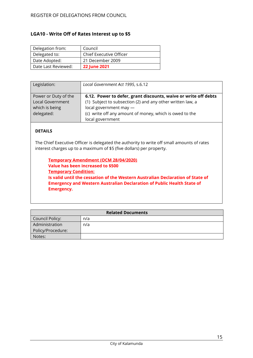# <span id="page-14-0"></span>**LGA10 - Write Off of Rates Interest up to \$5**

| Delegation from:    | Council                        |
|---------------------|--------------------------------|
| Delegated to:       | <b>Chief Executive Officer</b> |
| Date Adopted:       | 21 December 2009               |
| Date Last Reviewed: | <b>22 June 2021</b>            |

| Legislation:                                                             | Local Government Act 1995, s.6.12                                                                                                                                                                                                      |
|--------------------------------------------------------------------------|----------------------------------------------------------------------------------------------------------------------------------------------------------------------------------------------------------------------------------------|
| Power or Duty of the<br>Local Government<br>which is being<br>delegated: | 6.12. Power to defer, grant discounts, waive or write off debts<br>(1) Subject to subsection (2) and any other written law, a<br>local government may -<br>(c) write off any amount of money, which is owed to the<br>local government |

### **DETAILS**

The Chief Executive Officer is delegated the authority to write off small amounts of rates interest charges up to a maximum of \$5 (five dollars) per property.

**Temporary Amendment (OCM 28/04/2020) Value has been increased to \$500 Temporary Condition: Is valid until the cessation of the Western Australian Declaration of State of Emergency and Western Australian Declaration of Public Health State of Emergency.**

| <b>Related Documents</b> |     |
|--------------------------|-----|
| Council Policy:          | n/a |
| Administration           | n/a |
| Policy/Procedure:        |     |
| Notes:                   |     |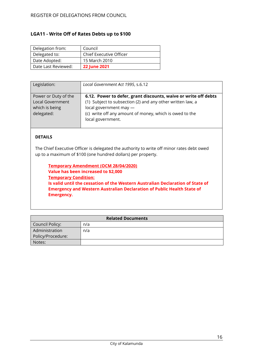### <span id="page-15-0"></span>**LGA11 - Write Off of Rates Debts up to \$100**

| Delegation from:    | Council                 |
|---------------------|-------------------------|
| Delegated to:       | Chief Executive Officer |
| Date Adopted:       | 15 March 2010           |
| Date Last Reviewed: | <b>22 June 2021</b>     |

| Legislation:         | Local Government Act 1995, s.6.12                               |
|----------------------|-----------------------------------------------------------------|
|                      |                                                                 |
| Power or Duty of the | 6.12. Power to defer, grant discounts, waive or write off debts |
| Local Government     | (1) Subject to subsection (2) and any other written law, a      |
| which is being       | local government may -                                          |
| delegated:           | (c) write off any amount of money, which is owed to the         |
|                      | local government.                                               |
|                      |                                                                 |

### **DETAILS**

The Chief Executive Officer is delegated the authority to write off minor rates debt owed up to a maximum of \$100 (one hundred dollars) per property.

**Temporary Amendment (OCM 28/04/2020) Value has been increased to \$2,000 Temporary Condition: Is valid until the cessation of the Western Australian Declaration of State of Emergency and Western Australian Declaration of Public Health State of Emergency.**

| <b>Related Documents</b> |     |
|--------------------------|-----|
| Council Policy:          | n/a |
| Administration           | n/a |
| Policy/Procedure:        |     |
| Notes:                   |     |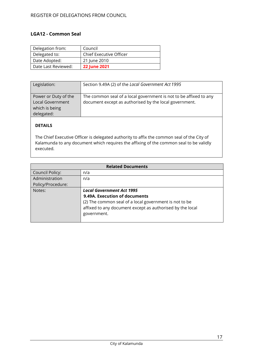### <span id="page-16-0"></span>**LGA12 - Common Seal**

| Delegation from:    | Council                 |
|---------------------|-------------------------|
| Delegated to:       | Chief Executive Officer |
| Date Adopted:       | 21 June 2010            |
| Date Last Reviewed: | <b>22 June 2021</b>     |

| Legislation:                                                             | Section 9.49A (2) of the Local Government Act 1995                                                                          |
|--------------------------------------------------------------------------|-----------------------------------------------------------------------------------------------------------------------------|
| Power or Duty of the<br>Local Government<br>which is being<br>delegated: | The common seal of a local government is not to be affixed to any<br>document except as authorised by the local government. |

# **DETAILS**

The Chief Executive Officer is delegated authority to affix the common seal of the City of Kalamunda to any document which requires the affixing of the common seal to be validly executed.

| <b>Related Documents</b> |                                                           |
|--------------------------|-----------------------------------------------------------|
| Council Policy:          | n/a                                                       |
| Administration           | n/a                                                       |
| Policy/Procedure:        |                                                           |
| Notes:                   | <b>Local Government Act 1995</b>                          |
|                          | 9.49A. Execution of documents                             |
|                          | (2) The common seal of a local government is not to be    |
|                          | affixed to any document except as authorised by the local |
|                          | government.                                               |
|                          |                                                           |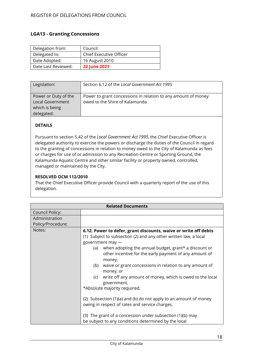### <span id="page-17-0"></span>**LGA13 - Granting Concessions**

| Delegation from:    | Council                 |
|---------------------|-------------------------|
| Delegated to:       | Chief Executive Officer |
| Date Adopted:       | 16 August 2010          |
| Date Last Reviewed: | <b>22 June 2021</b>     |

| Legislation:                                                             | Section 6.12 of the Local Government Act 1995                                                   |
|--------------------------------------------------------------------------|-------------------------------------------------------------------------------------------------|
| Power or Duty of the<br>Local Government<br>which is being<br>delegated: | Power to grant concessions in relation to any amount of money<br>owed to the Shire of Kalamunda |

### **DETAILS**

Pursuant to section 5.42 of the *Local Government Act 1995*,the Chief Executive Officer is delegated authority to exercise the powers or discharge the duties of the Council in regard to the granting of concessions in relation to money owed to the City of Kalamunda as fees or charges for use of or admission to any Recreation Centre or Sporting Ground, the Kalamunda Aquatic Centre and other similar facility or property owned, controlled, managed or maintained by the City.

### **RESOLVED OCM 112/2010**

That the Chief Executive Officer provide Council with a quarterly report of the use of this delegation.

| <b>Related Documents</b>            |                                                                                                                                                                                                                                                                                                                                                                                                                                                                                                                                                                                                                                                                                                                                          |
|-------------------------------------|------------------------------------------------------------------------------------------------------------------------------------------------------------------------------------------------------------------------------------------------------------------------------------------------------------------------------------------------------------------------------------------------------------------------------------------------------------------------------------------------------------------------------------------------------------------------------------------------------------------------------------------------------------------------------------------------------------------------------------------|
| Council Policy:                     |                                                                                                                                                                                                                                                                                                                                                                                                                                                                                                                                                                                                                                                                                                                                          |
| Administration<br>Policy/Procedure: |                                                                                                                                                                                                                                                                                                                                                                                                                                                                                                                                                                                                                                                                                                                                          |
| Notes:                              | 6.12. Power to defer, grant discounts, waive or write off debts<br>(1) Subject to subsection (2) and any other written law, a local<br>government may -<br>when adopting the annual budget, grant* a discount or<br>(a)<br>other incentive for the early payment of any amount of<br>money;<br>waive or grant concessions in relation to any amount of<br>(b)<br>money; or<br>write off any amount of money, which is owed to the local<br>(c)<br>government.<br>*Absolute majority required.<br>(2) Subsection (1)(a) and (b) do not apply to an amount of money<br>owing in respect of rates and service charges.<br>(3) The grant of a concession under subsection (1)(b) may<br>be subject to any conditions determined by the local |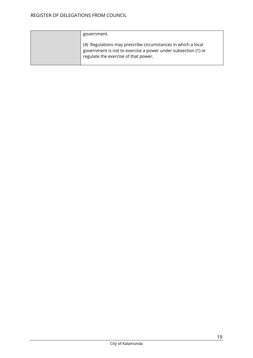| government.                                                                                                                                                           |
|-----------------------------------------------------------------------------------------------------------------------------------------------------------------------|
| (4) Regulations may prescribe circumstances in which a local<br>government is not to exercise a power under subsection (1) or<br>regulate the exercise of that power. |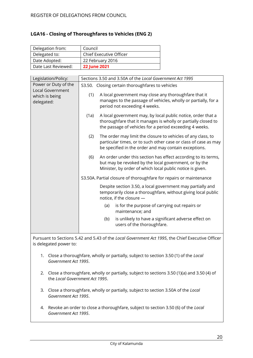### <span id="page-19-0"></span>**LGA16 - Closing of Thoroughfares to Vehicles (ENG 2)**

| Delegation from:    | Council                 |
|---------------------|-------------------------|
| Delegated to:       | Chief Executive Officer |
| Date Adopted:       | 22 February 2016        |
| Date Last Reviewed: | <b>22 June 2021</b>     |

| Legislation/Policy:                                                      |      | Sections 3.50 and 3.50A of the Local Government Act 1995                                                                                                                                 |
|--------------------------------------------------------------------------|------|------------------------------------------------------------------------------------------------------------------------------------------------------------------------------------------|
| Power or Duty of the<br>Local Government<br>which is being<br>delegated: |      | S3.50. Closing certain thoroughfares to vehicles                                                                                                                                         |
|                                                                          | (1)  | A local government may close any thoroughfare that it<br>manages to the passage of vehicles, wholly or partially, for a<br>period not exceeding 4 weeks.                                 |
|                                                                          | (1a) | A local government may, by local public notice, order that a<br>thoroughfare that it manages is wholly or partially closed to<br>the passage of vehicles for a period exceeding 4 weeks. |
|                                                                          | (2)  | The order may limit the closure to vehicles of any class, to<br>particular times, or to such other case or class of case as may<br>be specified in the order and may contain exceptions. |
|                                                                          | (6)  | An order under this section has effect according to its terms,<br>but may be revoked by the local government, or by the<br>Minister, by order of which local public notice is given.     |
|                                                                          |      | S3.50A. Partial closure of thoroughfare for repairs or maintenance                                                                                                                       |
|                                                                          |      | Despite section 3.50, a local government may partially and<br>temporarily close a thoroughfare, without giving local public<br>notice, if the closure -                                  |
|                                                                          |      | is for the purpose of carrying out repairs or<br>(a)<br>maintenance; and                                                                                                                 |
|                                                                          |      | (b)<br>is unlikely to have a significant adverse effect on<br>users of the thoroughfare.                                                                                                 |

Pursuant to Sections 5.42 and 5.43 of the *Local Government Act 1995*, the Chief Executive Officer is delegated power to:

- 1. Close a thoroughfare, wholly or partially, subject to section 3.50 (1) of the *Local Government Act 1995*.
- 2. Close a thoroughfare, wholly or partially, subject to sections 3.50 (1)(a) and 3.50 (4) of the *Local Government Act 1995*.
- 3. Close a thoroughfare, wholly or partially, subject to section 3.50A of the *Local Government Act 1995*.
- 4. Revoke an order to close a thoroughfare, subject to section 3.50 (6) of the *Local Government Act 1995*.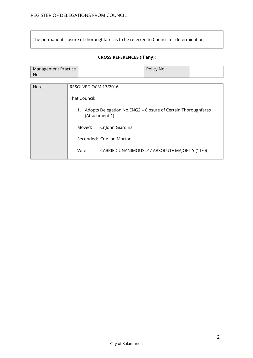The permanent closure of thoroughfares is to be referred to Council for determination.

### **CROSS REFERENCES (If any):**

| Management Practice | Policy No.: |  |
|---------------------|-------------|--|
| No.                 |             |  |

| Notes: | RESOLVED OCM 17/2016                                                                 |
|--------|--------------------------------------------------------------------------------------|
|        | That Council:                                                                        |
|        | Adopts Delegation No.ENG2 - Closure of Certain Thoroughfares<br>1.<br>(Attachment 1) |
|        | Cr John Giardina<br>Moved:                                                           |
|        | Seconded: Cr Allan Morton                                                            |
|        | Vote:<br>CARRIED UNANIMOUSLY / ABSOLUTE MAJORITY (11/0)                              |
|        |                                                                                      |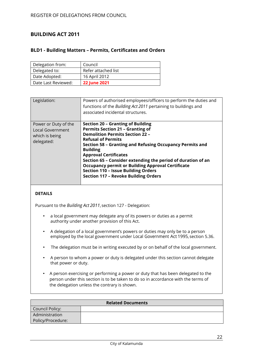# <span id="page-21-0"></span>**BUILDING ACT 2011**

### <span id="page-21-1"></span>**BLD1 - Building Matters – Permits, Certificates and Orders**

| Delegation from:    | Council             |
|---------------------|---------------------|
| Delegated to:       | Refer attached list |
| Date Adopted:       | 16 April 2012       |
| Date Last Reviewed: | <b>22 June 2021</b> |

| Legislation:                                                             | Powers of authorised employees/officers to perform the duties and<br>functions of the Building Act 2011 pertaining to buildings and<br>associated incidental structures.                                                                                                                                                                                                                                                                                                                           |
|--------------------------------------------------------------------------|----------------------------------------------------------------------------------------------------------------------------------------------------------------------------------------------------------------------------------------------------------------------------------------------------------------------------------------------------------------------------------------------------------------------------------------------------------------------------------------------------|
| Power or Duty of the<br>Local Government<br>which is being<br>delegated: | <b>Section 20 - Granting of Building</b><br><b>Permits Section 21 - Granting of</b><br><b>Demolition Permits Section 22 -</b><br><b>Refusal of Permits</b><br>Section 58 - Granting and Refusing Occupancy Permits and<br><b>Building</b><br><b>Approval Certificates</b><br>Section 65 - Consider extending the period of duration of an<br><b>Occupancy permit or Building Approval Certificate</b><br><b>Section 110 - Issue Building Orders</b><br><b>Section 117 - Revoke Building Orders</b> |

### **DETAILS**

Pursuant to the *Building Act 2011*, section 127 - Delegation:

- a local government may delegate any of its powers or duties as a permit authority under another provision of this Act.
- A delegation of a local government's powers or duties may only be to a person employed by the local government under Local Government Act 1995, section 5.36.
- The delegation must be in writing executed by or on behalf of the local government.
- A person to whom a power or duty is delegated under this section cannot delegate that power or duty.
- A person exercising or performing a power or duty that has been delegated to the person under this section is to be taken to do so in accordance with the terms of the delegation unless the contrary is shown.

| <b>Related Documents</b> |  |
|--------------------------|--|
| Council Policy:          |  |
| Administration           |  |
| Policy/Procedure:        |  |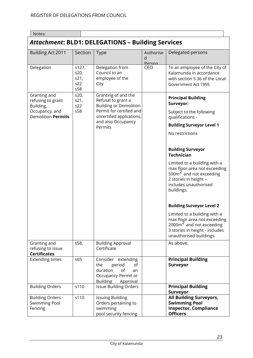| Notes:                                                                                 |                                     |                                                                                                                                                                      |                          |                                                                                                                                                                                                                                                                                                                                                                                                                                                                                               |
|----------------------------------------------------------------------------------------|-------------------------------------|----------------------------------------------------------------------------------------------------------------------------------------------------------------------|--------------------------|-----------------------------------------------------------------------------------------------------------------------------------------------------------------------------------------------------------------------------------------------------------------------------------------------------------------------------------------------------------------------------------------------------------------------------------------------------------------------------------------------|
| <b>Attachment: BLD1: DELEGATIONS - Building Services</b>                               |                                     |                                                                                                                                                                      |                          |                                                                                                                                                                                                                                                                                                                                                                                                                                                                                               |
| Building Act 2011                                                                      | Section                             | Type                                                                                                                                                                 | Authorise<br>d<br>Person | Delegated persons                                                                                                                                                                                                                                                                                                                                                                                                                                                                             |
| Delegation                                                                             | s127,<br>s20,<br>s21,<br>s22<br>s58 | Delegation from<br>Council to an<br>employee of the<br>City                                                                                                          | CEO                      | To an employee of the City of<br>Kalamunda in accordance<br>with section 5.36 of the Local<br>Government Act 1995                                                                                                                                                                                                                                                                                                                                                                             |
| Granting and<br>refusing to grant<br>Building,<br>Occupancy, and<br>Demolition Permits | s20,<br>s21,<br>s22<br>s58          | Granting of and the<br>Refusal to grant a<br><b>Building or Demolition</b><br>Permit for certified and<br>uncertified applications,<br>and also Occupancy<br>Permits |                          | <b>Principal Building</b><br>Surveyor:<br>Subject to the following<br>qualifications -<br><b>Building Surveyor Level 1</b><br>No restrictions<br><b>Building Surveyor</b><br><b>Technician</b><br>Limited to a building with a<br>max floor area not exceeding<br>$500m2$ and not exceeding<br>2 stories in height -<br>includes unauthorised<br>buildings.<br><b>Building Surveyor Level 2</b><br>Limited to a building with a<br>max floor area not exceeding<br>$2000m2$ and not exceeding |
| Granting and                                                                           | s58,                                | <b>Building Approval</b>                                                                                                                                             |                          | 3 stories in height - includes<br>unauthorised buildings.<br>As above.                                                                                                                                                                                                                                                                                                                                                                                                                        |
| refusing to issue<br><b>Certificates</b>                                               |                                     | Certificate                                                                                                                                                          |                          |                                                                                                                                                                                                                                                                                                                                                                                                                                                                                               |
| <b>Extending times</b>                                                                 | s65                                 | Consider extending<br>period<br>the<br>οf<br>duration<br>of<br>an<br>Occupancy Permit or<br><b>Building</b><br>Approval                                              |                          | <b>Principal Building</b><br><b>Surveyor</b>                                                                                                                                                                                                                                                                                                                                                                                                                                                  |
| <b>Building Orders</b>                                                                 | s110                                | <b>Issue Building Orders</b>                                                                                                                                         |                          | <b>Principal Building</b>                                                                                                                                                                                                                                                                                                                                                                                                                                                                     |
| <b>Building Orders -</b><br>Swimming Pool<br>Fencing                                   | s110                                | <b>Issuing Building</b><br>Orders pertaining to<br>swimming<br>pool security fencing                                                                                 |                          | Surveyor<br><b>All Building Surveyors,</b><br><b>Swimming Pool</b><br><b>Inspector, Compliance</b><br><b>Officers</b>                                                                                                                                                                                                                                                                                                                                                                         |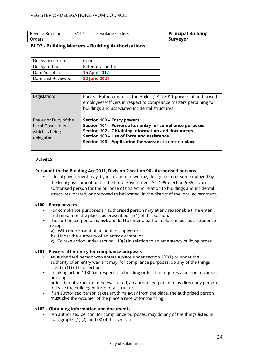| Revoke Building | s117 | Revoking Orders | <b>Principal Building</b> |
|-----------------|------|-----------------|---------------------------|
| l Orders        |      |                 | <b>Surveyor</b>           |

### <span id="page-23-0"></span>**BLD2 - Building Matters – Building Authorisations**

| Delegation from:    | Council             |
|---------------------|---------------------|
| Delegated to:       | Refer attached list |
| Date Adopted:       | 16 April 2012       |
| Date Last Reviewed: | <b>22 June 2021</b> |

| Legislation:                                                             | Part 8 - Enforcement, of the Building Act 2011 powers of authorised<br>employees/officers in respect to compliance matters pertaining to<br>buildings and associated incidental structures.                                                               |
|--------------------------------------------------------------------------|-----------------------------------------------------------------------------------------------------------------------------------------------------------------------------------------------------------------------------------------------------------|
| Power or Duty of the<br>Local Government<br>which is being<br>delegated: | Section 100 - Entry powers<br>Section 101 - Powers after entry for compliance purposes<br><b>Section 102 - Obtaining information and documents</b><br>Section 103 - Use of force and assistance<br>Section 106 - Application for warrant to enter a place |

### **DETAILS**

#### **Pursuant to the Building Act 2011, Division 2 section 96 - Authorised persons.**

• a local government may, by instrument in writing, designate a person employed by the local government under the Local Government Act 1995section 5.36, as an authorised person for the purpose of this Act in relation to buildings and incidental structures located, or proposed to be located, in the district of the local government.

#### **s100 – Entry powers**

- For compliance purposes an authorised person may at any reasonable time enter and remain on the places as prescribed in (1) of this section.
- The authorised person **is not** entitled to enter a part of a place in use as a residence except –
	- a) With the consent of an adult occupier; or
	- b) Under the authority of an entry warrant; or
	- c) To take action under section 118(2) in relation to an emergency building order.

#### **s101 – Powers after entry for compliance purposes**

- An authorised person who enters a place under section 100(1) or under the authority of an entry warrant may, for compliance purposes, do any of the things listed in (1) of this section
- In taking action 118(2) in respect of a building order that requires a person to cause a building

or incidental structure to be evacuated, an authorised person may direct any person to leave the building or incidental structure.

If an authorised person takes anything away from the place, the authorised person must give the occupier of the place a receipt for the thing.

### **s102 – Obtaining information and documents**

• An authorised person, for compliance purposes, may do any of the things listed in paragraphs (1),(2), and (3) of this section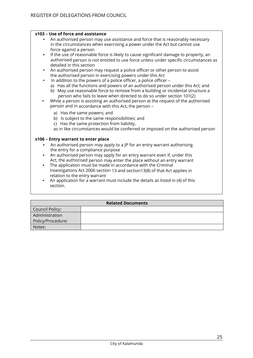#### **s103 – Use of force and assistance**

- An authorised person may use assistance and force that is reasonably necessary in the circumstances when exercising a power under the Act but cannot use force against a person
- If the use of reasonable force is likely to cause significant damage to property, an authorised person is not entitled to use force unless under specific circumstances as detailed in this section
- An authorised person may request a police officer or other person to assist the authorised person in exercising powers under this Act
	- In addition to the powers of a police officer, a police officer –
	- a) Has all the functions and powers of an authorised person under this Act; and b) May use reasonable force to remove from a building or incidental structure a person who fails to leave when directed to do so under section 101(2)
- While a person is assisting an authorised person at the request of the authorised person and in accordance with this Act, the person –
	- a) Has the same powers; and
	- b) Is subject to the same responsibilities; and
	- c) Has the same protection from liability,

as in like circumstances would be conferred or imposed on the authorised person

#### **s106 – Entry warrant to enter place**

- An authorised person may apply to a JP for an entry warrant authorising the entry for a compliance purpose
- An authorised person may apply for an entry warrant even if, under this Act, the authorised person may enter the place without an entry warrant
- The application must be made in accordance with the Criminal Investigations Act 2006 section 13 and section13(8) of that Act applies in relation to the entry warrant
- An application for a warrant must include the details as listed in (4) of this section.

| <b>Related Documents</b> |  |  |
|--------------------------|--|--|
| Council Policy:          |  |  |
| Administration           |  |  |
| Policy/Procedure:        |  |  |
| Notes:                   |  |  |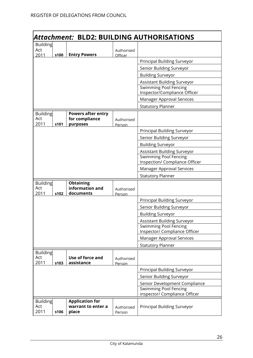| Attachment: BLD2: BUILDING AUTHORISATIONS |      |                                                         |                      |                                                              |  |
|-------------------------------------------|------|---------------------------------------------------------|----------------------|--------------------------------------------------------------|--|
| <b>Building</b>                           |      |                                                         |                      |                                                              |  |
| Act                                       |      |                                                         | Authorised           |                                                              |  |
| 2011                                      | s100 | <b>Entry Powers</b>                                     | Officer              |                                                              |  |
|                                           |      |                                                         |                      | Principal Building Surveyor                                  |  |
|                                           |      |                                                         |                      | Senior Building Surveyor                                     |  |
|                                           |      |                                                         |                      | <b>Building Surveyor</b>                                     |  |
|                                           |      |                                                         |                      | Assistant Building Surveyor                                  |  |
|                                           |      |                                                         |                      | <b>Swimming Pool Fencing</b><br>Inspector/Compliance Officer |  |
|                                           |      |                                                         |                      | Manager Approval Services                                    |  |
|                                           |      |                                                         |                      | <b>Statutory Planner</b>                                     |  |
| <b>Building</b><br>Act<br>2011            | s101 | <b>Powers after entry</b><br>for compliance<br>purposes | Authorised<br>Person |                                                              |  |
|                                           |      |                                                         |                      | Principal Building Surveyor                                  |  |
|                                           |      |                                                         |                      | Senior Building Surveyor                                     |  |
|                                           |      |                                                         |                      | <b>Building Surveyor</b>                                     |  |
|                                           |      |                                                         |                      | Assistant Building Surveyor                                  |  |
|                                           |      |                                                         |                      | <b>Swimming Pool Fencing</b>                                 |  |
|                                           |      |                                                         |                      | Inspection/ Compliance Officer                               |  |
|                                           |      |                                                         |                      | <b>Manager Approval Services</b>                             |  |
|                                           |      |                                                         |                      | <b>Statutory Planner</b>                                     |  |
| <b>Building</b><br>Act<br>2011            | s102 | <b>Obtaining</b><br>information and<br>documents        | Authorised<br>Person |                                                              |  |
|                                           |      |                                                         |                      | Principal Building Surveyor                                  |  |
|                                           |      |                                                         |                      | Senior Building Surveyor                                     |  |
|                                           |      |                                                         |                      | <b>Building Surveyor</b>                                     |  |
|                                           |      |                                                         |                      | <b>Assistant Building Surveyor</b>                           |  |
|                                           |      |                                                         |                      | <b>Swimming Pool Fencing</b>                                 |  |
|                                           |      |                                                         |                      | Inspector/ Compliance Officer                                |  |
|                                           |      |                                                         |                      | Manager Approval Services                                    |  |
|                                           |      |                                                         |                      | <b>Statutory Planner</b>                                     |  |
| <b>Building</b><br>Act<br>2011            | s103 | Use of force and<br>assistance                          | Authorised<br>Person |                                                              |  |
|                                           |      |                                                         |                      | Principal Building Surveyor                                  |  |
|                                           |      |                                                         |                      | Senior Building Surveyor                                     |  |
|                                           |      | Senior Development Compliance                           |                      |                                                              |  |
|                                           |      | <b>Swimming Pool Fencing</b>                            |                      |                                                              |  |
|                                           |      |                                                         |                      | inspector/ Compliance Officer                                |  |
| <b>Building</b><br>Act<br>2011            | s106 | <b>Application for</b><br>warrant to enter a<br>place   | Authorised<br>Person | Principal Building Surveyor                                  |  |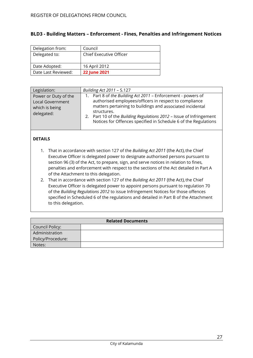| Delegation from:    | Council                 |
|---------------------|-------------------------|
| Delegated to:       | Chief Executive Officer |
|                     |                         |
| Date Adopted:       | 16 April 2012           |
| Date Last Reviewed: | <b>22 June 2021</b>     |

### <span id="page-26-0"></span>**BLD3 - Building Matters – Enforcement - Fines, Penalties and Infringement Notices**

| Legislation:                                                                    | Building Act 2011 - S.127                                                                                                                                                                                                                                                                                                                    |
|---------------------------------------------------------------------------------|----------------------------------------------------------------------------------------------------------------------------------------------------------------------------------------------------------------------------------------------------------------------------------------------------------------------------------------------|
| Power or Duty of the<br><b>Local Government</b><br>which is being<br>delegated: | Part 8 of the Building Act 2011 - Enforcement - powers of<br>authorised employees/officers in respect to compliance<br>matters pertaining to buildings and associated incidental<br>structures.<br>Part 10 of the Building Regulations 2012 - Issue of Infringement<br>2.<br>Notices for Offences specified in Schedule 6 of the Regulations |

### **DETAILS**

- 1. That in accordance with section 127 of the *Building Act 2011* (the Act), the Chief Executive Officer is delegated power to designate authorised persons pursuant to section 96 (3) of the Act, to prepare, sign, and serve notices in relation to fines, penalties and enforcement with respect to the sections of the Act detailed in Part A of the Attachment to this delegation.
- 2. That in accordance with section 127 of the *Building Act 2011* (the Act), the Chief Executive Officer is delegated power to appoint persons pursuant to regulation 70 of the *Building Regulations 2012* to issue Infringement Notices for those offences specified in Scheduled 6 of the regulations and detailed in Part B of the Attachment to this delegation.

| <b>Related Documents</b> |  |  |
|--------------------------|--|--|
| Council Policy:          |  |  |
| Administration           |  |  |
| Policy/Procedure:        |  |  |
| Notes:                   |  |  |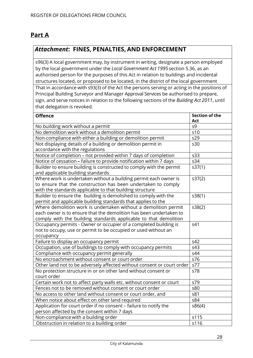# **Part A**

# *Attachment***: FINES, PENALTIES, AND ENFORCEMENT**

s96(3) A local government may, by instrument in writing, designate a person employed by the local government under the *Local Government Act 1995*section 5.36, as an authorised person for the purposes of this Act in relation to buildings and incidental structures located, or proposed to be located, in the district of the local government That in accordance with s93(3) of the Act the persons serving or acting in the positions of Principal Building Surveyor and Manager Approval Services be authorised to prepare, sign, and serve notices in relation to the following sections of the *Building Act 2011*, until that delegation is revoked.

| <b>Offence</b>                                                         | Section of the<br>Act |
|------------------------------------------------------------------------|-----------------------|
| No building work without a permit                                      | <b>s9</b>             |
| No demolition work without a demolition permit                         | s10                   |
| Non-compliance with either a building or demolition permit             | s29                   |
| Not displaying details of a building or demolition permit in           | s30                   |
| accordance with the regulations                                        |                       |
| Notice of completion - not provided within 7 days of completion        | s33                   |
| Notice of cessation - failure to provide notification within 7 days    | $\overline{s34}$      |
| Builder to ensure building is constructed to comply with the permit    | s37(1)                |
| and applicable building standards                                      |                       |
| Where work is undertaken without a building permit each owner is       | s37(2)                |
| to ensure that the construction has been undertaken to comply          |                       |
| with the standards applicable to that building structure               |                       |
| Builder to ensure the building is demolished to comply with the        | s38(1)                |
| permit and applicable building standards that applies to the           |                       |
| Where demolition work is undertaken without a demolition permit        | s38(2)                |
| each owner is to ensure that the demolition has been undertaken to     |                       |
| comply with the building standards applicable to that demolition       |                       |
| Occupancy permits - Owner or occupier of a completed building is       | s41                   |
| not to occupy, use or permit to be occupied or used without an         |                       |
| occupancy                                                              |                       |
| Failure to display an occupancy permit                                 | s42                   |
| Occupation, use of buildings to comply with occupancy permits          | s43                   |
| Compliance with occupancy permit generally                             | s44                   |
| No encroachment without consent or court order                         | s76                   |
| Other land not to be adversely affected without consent or court order | s77                   |
| No protection structure in or on other land without consent or         | s78                   |
| court order                                                            |                       |
| Certain work not to affect party walls etc. without consent or court   | s79                   |
| Fences not to be removed without consent or court order                | s80                   |
| No access to other land without consent or court order, and            | s81                   |
| When notice about effect on other land required                        | s84                   |
| Application for court order if no consent - failure to notify the      | s86(4)                |
| person affected by the consent within 7 days                           |                       |
| Non-compliance with a building order                                   | s115                  |
| Obstruction in relation to a building order                            | s116                  |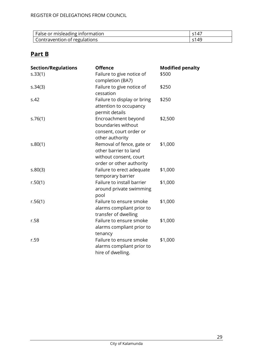| False or misleading information | $-1$              |
|---------------------------------|-------------------|
| Contravention of regulations    | $-1$<br>$\Lambda$ |

# **Part B**

| <b>Section/Regulations</b> | <b>Offence</b>                                                                                           | <b>Modified penalty</b> |
|----------------------------|----------------------------------------------------------------------------------------------------------|-------------------------|
| s.33(1)                    | Failure to give notice of<br>completion (BA7)                                                            | \$500                   |
| s.34(3)                    | Failure to give notice of<br>cessation                                                                   | \$250                   |
| S.42                       | Failure to display or bring<br>attention to occupancy<br>permit details                                  | \$250                   |
| s.76(1)                    | Encroachment beyond<br>boundaries without<br>consent, court order or<br>other authority                  | \$2,500                 |
| S.80(1)                    | Removal of fence, gate or<br>other barrier to land<br>without consent, court<br>order or other authority | \$1,000                 |
| S.80(3)                    | Failure to erect adequate<br>temporary barrier                                                           | \$1,000                 |
| r.50(1)                    | Failure to install barrier<br>around private swimming<br>pool                                            | \$1,000                 |
| r.56(1)                    | Failure to ensure smoke<br>alarms compliant prior to<br>transfer of dwelling                             | \$1,000                 |
| r.58                       | Failure to ensure smoke<br>alarms compliant prior to<br>tenancy                                          | \$1,000                 |
| r.59                       | Failure to ensure smoke<br>alarms compliant prior to<br>hire of dwelling.                                | \$1,000                 |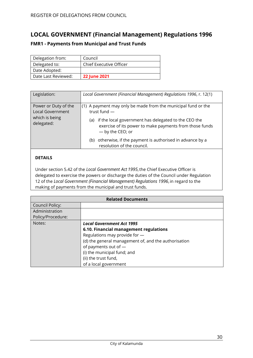# <span id="page-29-0"></span>**LOCAL GOVERNMENT (Financial Management) Regulations 1996**

### <span id="page-29-1"></span>**FMR1 - Payments from Municipal and Trust Funds**

| Delegation from:    | Council                 |
|---------------------|-------------------------|
| Delegated to:       | Chief Executive Officer |
| Date Adopted:       |                         |
| Date Last Reviewed: | <b>22 June 2021</b>     |

| Legislation:                                                             | Local Government (Financial Management) Regulations 1996, r. 12(1)                                                                                                                                                            |
|--------------------------------------------------------------------------|-------------------------------------------------------------------------------------------------------------------------------------------------------------------------------------------------------------------------------|
| Power or Duty of the<br>Local Government<br>which is being<br>delegated: | (1) A payment may only be made from the municipal fund or the<br>trust fund $-$<br>if the local government has delegated to the CEO the<br>(a)<br>exercise of its power to make payments from those funds<br>- by the CEO; or |
|                                                                          | otherwise, if the payment is authorised in advance by a<br>(b)<br>resolution of the council.                                                                                                                                  |

# **DETAILS**

Under section 5.42 of the *Local Government Act 1995*,the Chief Executive Officer is delegated to exercise the powers or discharge the duties of the Council under Regulation 12 of the *Local Government (Financial Management) Regulations 1996*, in regard to the making of payments from the municipal and trust funds.

| <b>Related Documents</b> |                                                      |
|--------------------------|------------------------------------------------------|
| <b>Council Policy:</b>   |                                                      |
| Administration           |                                                      |
| Policy/Procedure:        |                                                      |
| Notes:                   | <b>Local Government Act 1995</b>                     |
|                          | 6.10. Financial management regulations               |
|                          | Regulations may provide for -                        |
|                          | (d) the general management of, and the authorisation |
|                          | of payments out of -                                 |
|                          | (i) the municipal fund; and                          |
|                          | (ii) the trust fund,                                 |
|                          | of a local government                                |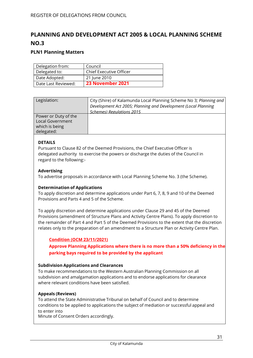# <span id="page-30-0"></span>**PLANNING AND DEVELOPMENT ACT 2005 & LOCAL PLANNING SCHEME NO.3**

### <span id="page-30-1"></span>**PLN1 Planning Matters**

| Delegation from:    | Council                 |
|---------------------|-------------------------|
| Delegated to:       | Chief Executive Officer |
| Date Adopted:       | 21 June 2010            |
| Date Last Reviewed: | 23 November 2021        |

| Legislation:                                                             | City (Shire) of Kalamunda Local Planning Scheme No 3; Planning and<br>Development Act 2005; Planning and Development (Local Planning<br>Schemes) Regulations 2015 |
|--------------------------------------------------------------------------|-------------------------------------------------------------------------------------------------------------------------------------------------------------------|
| Power or Duty of the<br>Local Government<br>which is being<br>delegated: |                                                                                                                                                                   |

### **DETAILS**

Pursuant to Clause 82 of the Deemed Provisions, the Chief Executive Officer is delegated authority to exercise the powers or discharge the duties of the Council in regard to the following:-

#### **Advertising**

To advertise proposals in accordance with Local Planning Scheme No. 3 (the Scheme).

#### **Determination of Applications**

To apply discretion and determine applications under Part 6, 7, 8, 9 and 10 of the Deemed Provisions and Parts 4 and 5 of the Scheme.

To apply discretion and determine applications under Clause 29 and 45 of the Deemed Provisions (amendment of Structure Plans and Activity Centre Plans). To apply discretion to the remainder of Part 4 and Part 5 of the Deemed Provisions to the extent that the discretion relates only to the preparation of an amendment to a Structure Plan or Activity Centre Plan.

### **Condition (OCM 23/11/2021)**

**Approve Planning Applications where there is no more than a 50% deficiency in the parking bays required to be provided by the applicant**

#### **Subdivision Applications and Clearances**

To make recommendations to the Western Australian Planning Commission on all subdivision and amalgamation applications and to endorse applications for clearance where relevant conditions have been satisfied.

#### **Appeals (Reviews)**

To attend the State Administrative Tribunal on behalf of Council and to determine conditions to be applied to applications the subject of mediation or successful appeal and to enter into

Minute of Consent Orders accordingly.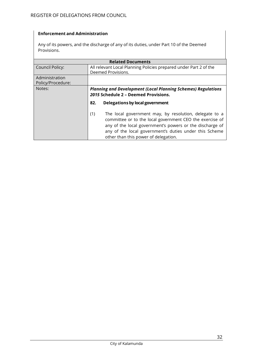### **Enforcement and Administration**

Any of its powers, and the discharge of any of its duties, under Part 10 of the Deemed Provisions.

| <b>Related Documents</b>            |                                                                                                                                                                                                                                                                                         |  |
|-------------------------------------|-----------------------------------------------------------------------------------------------------------------------------------------------------------------------------------------------------------------------------------------------------------------------------------------|--|
| <b>Council Policy:</b>              | All relevant Local Planning Policies prepared under Part 2 of the<br>Deemed Provisions.                                                                                                                                                                                                 |  |
| Administration<br>Policy/Procedure: |                                                                                                                                                                                                                                                                                         |  |
| Notes:                              | <b>Planning and Development (Local Planning Schemes) Regulations</b><br>2015 Schedule 2 - Deemed Provisions.                                                                                                                                                                            |  |
|                                     | Delegations by local government<br>82.                                                                                                                                                                                                                                                  |  |
|                                     | The local government may, by resolution, delegate to a<br>(1)<br>committee or to the local government CEO the exercise of<br>any of the local government's powers or the discharge of<br>any of the local government's duties under this Scheme<br>other than this power of delegation. |  |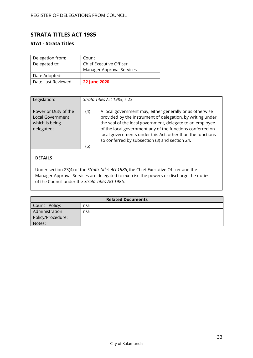# <span id="page-32-0"></span>**STRATA TITLES ACT 1985**

### <span id="page-32-1"></span>**STA1 - Strata Titles**

| Delegation from:    | Council                   |
|---------------------|---------------------------|
| Delegated to:       | Chief Executive Officer   |
|                     | Manager Approval Services |
| Date Adopted:       |                           |
| Date Last Reviewed: | <b>22 June 2020</b>       |

| Legislation:                                                                    | Strata Titles Act 1985, s.23                                                                                                                                                                                                                                                                                                                                                   |
|---------------------------------------------------------------------------------|--------------------------------------------------------------------------------------------------------------------------------------------------------------------------------------------------------------------------------------------------------------------------------------------------------------------------------------------------------------------------------|
| Power or Duty of the<br><b>Local Government</b><br>which is being<br>delegated: | A local government may, either generally or as otherwise<br>(4)<br>provided by the instrument of delegation, by writing under<br>the seal of the local government, delegate to an employee<br>of the local government any of the functions conferred on<br>local governments under this Act, other than the functions<br>so conferred by subsection (3) and section 24.<br>(5) |

# **DETAILS**

Under section 23(4) of the *Strata Titles Act 1985*,the Chief Executive Officer and the Manager Approval Services are delegated to exercise the powers or discharge the duties of the Council under the *Strata Titles Act 1985*.

| <b>Related Documents</b> |     |
|--------------------------|-----|
| Council Policy:          | n/a |
| Administration           | n/a |
| Policy/Procedure:        |     |
| Notes:                   |     |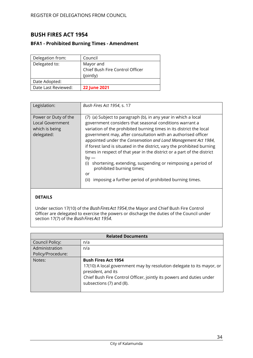# <span id="page-33-0"></span>**BUSH FIRES ACT 1954**

### <span id="page-33-1"></span>**BFA1 - Prohibited Burning Times - Amendment**

| Delegation from:    | Council                         |
|---------------------|---------------------------------|
| Delegated to:       | Mayor and                       |
|                     | Chief Bush Fire Control Officer |
|                     | (jointly)                       |
| Date Adopted:       |                                 |
| Date Last Reviewed: | <b>22 June 2021</b>             |

| Legislation:                                                                    | Bush Fires Act 1954, s. 17                                                                                                                                                                                                                                                                                                                                                                                                                                                                                                                                                                                                                                                     |
|---------------------------------------------------------------------------------|--------------------------------------------------------------------------------------------------------------------------------------------------------------------------------------------------------------------------------------------------------------------------------------------------------------------------------------------------------------------------------------------------------------------------------------------------------------------------------------------------------------------------------------------------------------------------------------------------------------------------------------------------------------------------------|
| Power or Duty of the<br><b>Local Government</b><br>which is being<br>delegated: | (7) (a) Subject to paragraph (b), in any year in which a local<br>government considers that seasonal conditions warrant a<br>variation of the prohibited burning times in its district the local<br>government may, after consultation with an authorised officer<br>appointed under the Conservation and Land Management Act 1984,<br>if forest land is situated in the district, vary the prohibited burning<br>times in respect of that year in the district or a part of the district<br>$by -$<br>shortening, extending, suspending or reimposing a period of<br>(i)<br>prohibited burning times;<br>or<br>imposing a further period of prohibited burning times.<br>(ii) |

### **DETAILS**

Under section 17(10) of the *BushFiresAct 1954*,the Mayor and Chief Bush Fire Control Officer are delegated to exercise the powers or discharge the duties of the Council under section 17(7) of the *BushFiresAct 1954*.

| <b>Related Documents</b> |                                                                                                                                                                                                                               |
|--------------------------|-------------------------------------------------------------------------------------------------------------------------------------------------------------------------------------------------------------------------------|
| <b>Council Policy:</b>   | n/a                                                                                                                                                                                                                           |
| Administration           | n/a                                                                                                                                                                                                                           |
| Policy/Procedure:        |                                                                                                                                                                                                                               |
| Notes:                   | <b>Bush Fires Act 1954</b><br>17(10) A local government may by resolution delegate to its mayor, or<br>president, and its<br>Chief Bush Fire Control Officer, jointly its powers and duties under<br>subsections (7) and (8). |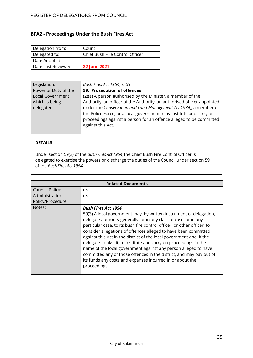# <span id="page-34-0"></span>**BFA2 - Proceedings Under the Bush Fires Act**

| Delegation from:    | Council                         |
|---------------------|---------------------------------|
| Delegated to:       | Chief Bush Fire Control Officer |
| Date Adopted:       |                                 |
| Date Last Reviewed: | <b>22 June 2021</b>             |

| Legislation:         | Bush Fires Act 1954, s. 59                                                                                                                                                                                                          |
|----------------------|-------------------------------------------------------------------------------------------------------------------------------------------------------------------------------------------------------------------------------------|
| Power or Duty of the | 59. Prosecution of offences                                                                                                                                                                                                         |
| Local Government     | (2)(a) A person authorised by the Minister, a member of the                                                                                                                                                                         |
| which is being       | Authority, an officer of the Authority, an authorised officer appointed                                                                                                                                                             |
| delegated:           | under the Conservation and Land Management Act 1984, a member of<br>the Police Force, or a local government, may institute and carry on<br>proceedings against a person for an offence alleged to be committed<br>against this Act. |

# **DETAILS**

Under section 59(3) of the *BushFires Act 1954*,the Chief Bush Fire Control Officer is delegated to exercise the powers or discharge the duties of the Council under section 59 of the *BushFires Act 1954.*

| <b>Related Documents</b> |                                                                                                                                                                                                                                                                                                                                                                                                                                                                                                                                                                                                                                                                                        |
|--------------------------|----------------------------------------------------------------------------------------------------------------------------------------------------------------------------------------------------------------------------------------------------------------------------------------------------------------------------------------------------------------------------------------------------------------------------------------------------------------------------------------------------------------------------------------------------------------------------------------------------------------------------------------------------------------------------------------|
| Council Policy:          | n/a                                                                                                                                                                                                                                                                                                                                                                                                                                                                                                                                                                                                                                                                                    |
| Administration           | n/a                                                                                                                                                                                                                                                                                                                                                                                                                                                                                                                                                                                                                                                                                    |
| Policy/Procedure:        |                                                                                                                                                                                                                                                                                                                                                                                                                                                                                                                                                                                                                                                                                        |
| Notes:                   | <b>Bush Fires Act 1954</b><br>59(3) A local government may, by written instrument of delegation,<br>delegate authority generally, or in any class of case, or in any<br>particular case, to its bush fire control officer, or other officer, to<br>consider allegations of offences alleged to have been committed<br>against this Act in the district of the local government and, if the<br>delegate thinks fit, to institute and carry on proceedings in the<br>name of the local government against any person alleged to have<br>committed any of those offences in the district, and may pay out of<br>its funds any costs and expenses incurred in or about the<br>proceedings. |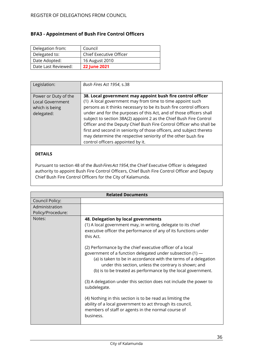# <span id="page-35-0"></span>**BFA3 - Appointment of Bush Fire Control Officers**

| Delegation from:    | Council                 |
|---------------------|-------------------------|
| Delegated to:       | Chief Executive Officer |
| Date Adopted:       | 16 August 2010          |
| Date Last Reviewed: | <b>22 June 2021</b>     |

| Legislation:                                                                    | Bush Fires Act 1954, s.38                                                                                                                                                                                                                                                                                                                                                                                                                                                                                                                                                                        |
|---------------------------------------------------------------------------------|--------------------------------------------------------------------------------------------------------------------------------------------------------------------------------------------------------------------------------------------------------------------------------------------------------------------------------------------------------------------------------------------------------------------------------------------------------------------------------------------------------------------------------------------------------------------------------------------------|
| Power or Duty of the<br><b>Local Government</b><br>which is being<br>delegated: | 38. Local government may appoint bush fire control officer<br>(1) A local government may from time to time appoint such<br>persons as it thinks necessary to be its bush fire control officers<br>under and for the purposes of this Act, and of those officers shall<br>subject to section 38A(2) appoint 2 as the Chief Bush Fire Control<br>Officer and the Deputy Chief Bush Fire Control Officer who shall be<br>first and second in seniority of those officers, and subject thereto<br>may determine the respective seniority of the other bush fire<br>control officers appointed by it. |

### **DETAILS**

Pursuant to section 48 of the *BushFires Act 1954*,the Chief Executive Officer is delegated authority to appoint Bush Fire Control Officers, Chief Bush Fire Control Officer and Deputy Chief Bush Fire Control Officers for the City of Kalamunda.

| <b>Related Documents</b>            |                                                                                                                                                                                                                                                                                                                                                                                                                                                                                                                                                                                                                                                                                                                                                                                              |
|-------------------------------------|----------------------------------------------------------------------------------------------------------------------------------------------------------------------------------------------------------------------------------------------------------------------------------------------------------------------------------------------------------------------------------------------------------------------------------------------------------------------------------------------------------------------------------------------------------------------------------------------------------------------------------------------------------------------------------------------------------------------------------------------------------------------------------------------|
| Council Policy:                     |                                                                                                                                                                                                                                                                                                                                                                                                                                                                                                                                                                                                                                                                                                                                                                                              |
| Administration<br>Policy/Procedure: |                                                                                                                                                                                                                                                                                                                                                                                                                                                                                                                                                                                                                                                                                                                                                                                              |
| Notes:                              | 48. Delegation by local governments<br>(1) A local government may, in writing, delegate to its chief<br>executive officer the performance of any of its functions under<br>this Act.<br>(2) Performance by the chief executive officer of a local<br>government of a function delegated under subsection (1) -<br>(a) is taken to be in accordance with the terms of a delegation<br>under this section, unless the contrary is shown; and<br>(b) is to be treated as performance by the local government.<br>(3) A delegation under this section does not include the power to<br>subdelegate.<br>(4) Nothing in this section is to be read as limiting the<br>ability of a local government to act through its council,<br>members of staff or agents in the normal course of<br>business. |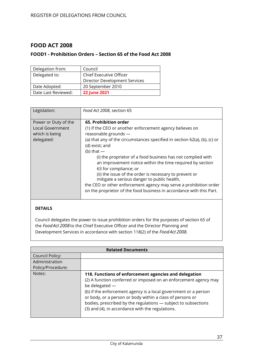# <span id="page-36-0"></span>**FOOD ACT 2008**

### <span id="page-36-1"></span>**FOOD1 - Prohibition Orders – Section 65 of the Food Act 2008**

| Delegation from:    | Council                        |
|---------------------|--------------------------------|
| Delegated to:       | <b>Chief Executive Officer</b> |
|                     | Director Development Services  |
| Date Adopted:       | 20 September 2010              |
| Date Last Reviewed: | <b>22 June 2021</b>            |

| Legislation:                                                             | Food Act 2008, section 65                                                                                                                                                                                                                                                                                                                                                                                                                                                                                                                                                                                                           |
|--------------------------------------------------------------------------|-------------------------------------------------------------------------------------------------------------------------------------------------------------------------------------------------------------------------------------------------------------------------------------------------------------------------------------------------------------------------------------------------------------------------------------------------------------------------------------------------------------------------------------------------------------------------------------------------------------------------------------|
| Power or Duty of the<br>Local Government<br>which is being<br>delegated: | 65. Prohibition order<br>(1) If the CEO or another enforcement agency believes on<br>reasonable grounds -<br>(a) that any of the circumstances specified in section 62(a), (b), (c) or<br>(d) exist; and<br>(b) that $-$<br>(i) the proprietor of a food business has not complied with<br>an improvement notice within the time required by section<br>63 for compliance; or<br>(ii) the issue of the order is necessary to prevent or<br>mitigate a serious danger to public health,<br>the CEO or other enforcement agency may serve a prohibition order<br>on the proprietor of the food business in accordance with this Part. |

### **DETAILS**

Council delegates the power to issue prohibition orders for the purposes of section 65 of the *FoodAct 2008* to the Chief Executive Officer and the Director Planning and Development Services in accordance with section 118(2) of the *FoodAct 2008*.

| <b>Related Documents</b> |                                                                                                                                                                                                                                                                                                                                                                                                   |
|--------------------------|---------------------------------------------------------------------------------------------------------------------------------------------------------------------------------------------------------------------------------------------------------------------------------------------------------------------------------------------------------------------------------------------------|
| <b>Council Policy:</b>   |                                                                                                                                                                                                                                                                                                                                                                                                   |
| Administration           |                                                                                                                                                                                                                                                                                                                                                                                                   |
| Policy/Procedure:        |                                                                                                                                                                                                                                                                                                                                                                                                   |
| Notes:                   | 118. Functions of enforcement agencies and delegation<br>(2) A function conferred or imposed on an enforcement agency may<br>be delegated -<br>(b) if the enforcement agency is a local government or a person<br>or body, or a person or body within a class of persons or<br>bodies, prescribed by the regulations - subject to subsections<br>(3) and (4), in accordance with the regulations. |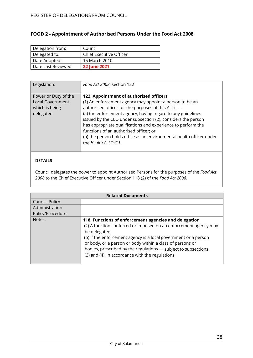# <span id="page-37-0"></span>**FOOD 2 - Appointment of Authorised Persons Under the Food Act 2008**

| Delegation from:    | Council                 |
|---------------------|-------------------------|
| Delegated to:       | Chief Executive Officer |
| Date Adopted:       | 15 March 2010           |
| Date Last Reviewed: | <b>22 June 2021</b>     |

| Legislation:                                                                    | Food Act 2008, section 122                                                                                                                                                                                                                                                                                                                                                                                                                                                                          |
|---------------------------------------------------------------------------------|-----------------------------------------------------------------------------------------------------------------------------------------------------------------------------------------------------------------------------------------------------------------------------------------------------------------------------------------------------------------------------------------------------------------------------------------------------------------------------------------------------|
| Power or Duty of the<br><b>Local Government</b><br>which is being<br>delegated: | 122. Appointment of authorised officers<br>(1) An enforcement agency may appoint a person to be an<br>authorised officer for the purposes of this Act if -<br>(a) the enforcement agency, having regard to any guidelines<br>issued by the CEO under subsection (2), considers the person<br>has appropriate qualifications and experience to perform the<br>functions of an authorised officer; or<br>(b) the person holds office as an environmental health officer under<br>the Health Act 1911. |

### **DETAILS**

Council delegates the power to appoint Authorised Persons for the purposes of the *Food Act 2008* to the Chief Executive Officer under Section 118 (2) of the *Food Act 2008*.

| <b>Related Documents</b> |                                                                                                                                                                                                                                                                                                                                                                                                     |
|--------------------------|-----------------------------------------------------------------------------------------------------------------------------------------------------------------------------------------------------------------------------------------------------------------------------------------------------------------------------------------------------------------------------------------------------|
| Council Policy:          |                                                                                                                                                                                                                                                                                                                                                                                                     |
| Administration           |                                                                                                                                                                                                                                                                                                                                                                                                     |
| Policy/Procedure:        |                                                                                                                                                                                                                                                                                                                                                                                                     |
| Notes:                   | 118. Functions of enforcement agencies and delegation<br>(2) A function conferred or imposed on an enforcement agency may<br>be delegated $-$<br>(b) if the enforcement agency is a local government or a person<br>or body, or a person or body within a class of persons or<br>bodies, prescribed by the regulations - subject to subsections<br>(3) and (4), in accordance with the regulations. |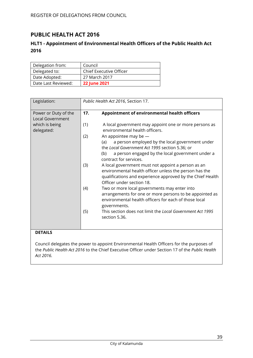# <span id="page-38-0"></span>**PUBLIC HEALTH ACT 2016**

# <span id="page-38-1"></span>**HLT1 - Appointment of Environmental Health Officers of the Public Health Act 2016**

| Delegation from:    | Council                        |
|---------------------|--------------------------------|
| Delegated to:       | <b>Chief Executive Officer</b> |
| Date Adopted:       | 27 March 2017                  |
| Date Last Reviewed: | <b>22 June 2021</b>            |

| Legislation:                                    |     | Public Health Act 2016, Section 17.                                                                                                                                                                                      |
|-------------------------------------------------|-----|--------------------------------------------------------------------------------------------------------------------------------------------------------------------------------------------------------------------------|
| Power or Duty of the<br><b>Local Government</b> | 17. | Appointment of environmental health officers                                                                                                                                                                             |
| which is being<br>delegated:                    | (1) | A local government may appoint one or more persons as<br>environmental health officers.                                                                                                                                  |
|                                                 | (2) | An appointee may be $-$<br>a person employed by the local government under<br>(a)<br>the Local Government Act 1995 section 5.36; or<br>a person engaged by the local government under a<br>(b)<br>contract for services. |
|                                                 | (3) | A local government must not appoint a person as an<br>environmental health officer unless the person has the<br>qualifications and experience approved by the Chief Health<br>Officer under section 18.                  |
|                                                 | (4) | Two or more local governments may enter into<br>arrangements for one or more persons to be appointed as<br>environmental health officers for each of those local<br>governments.                                         |
|                                                 | (5) | This section does not limit the Local Government Act 1995<br>section 5.36.                                                                                                                                               |
| <b>DETAILS</b>                                  |     |                                                                                                                                                                                                                          |

Council delegates the power to appoint Environmental Health Officers for the purposes of the *Public Health Act 2016* to the Chief Executive Officer under Section 17 of the *Public Health Act 2016.*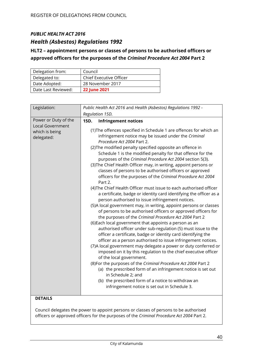# *PUBLIC HEALTH ACT 2016 Health (Asbestos) Regulations 1992*

# <span id="page-39-0"></span>**HLT2 – appointment persons or classes of persons to be authorised officers or approved officers for the purposes of the** *Criminal Procedure Act 2004* **Part 2**

| Delegation from:    | Council                        |
|---------------------|--------------------------------|
| Delegated to:       | <b>Chief Executive Officer</b> |
| Date Adopted:       | 28 November 2017               |
| Date Last Reviewed: | <b>22 June 2021</b>            |

| Legislation:                                                                    | Public Health Act 2016 and Health (Asbestos) Regulations 1992 -                                                                                                                                                                                                                                                                                                                                                                                                                                                                                                                                                                                                                                                                                                                                                                                                                                                                                                                                                                                                                                                                                                                                                                                                                                                                                                                                                                                                                                                                                                                                                                                                                                    |
|---------------------------------------------------------------------------------|----------------------------------------------------------------------------------------------------------------------------------------------------------------------------------------------------------------------------------------------------------------------------------------------------------------------------------------------------------------------------------------------------------------------------------------------------------------------------------------------------------------------------------------------------------------------------------------------------------------------------------------------------------------------------------------------------------------------------------------------------------------------------------------------------------------------------------------------------------------------------------------------------------------------------------------------------------------------------------------------------------------------------------------------------------------------------------------------------------------------------------------------------------------------------------------------------------------------------------------------------------------------------------------------------------------------------------------------------------------------------------------------------------------------------------------------------------------------------------------------------------------------------------------------------------------------------------------------------------------------------------------------------------------------------------------------------|
|                                                                                 | Regulation 15D.                                                                                                                                                                                                                                                                                                                                                                                                                                                                                                                                                                                                                                                                                                                                                                                                                                                                                                                                                                                                                                                                                                                                                                                                                                                                                                                                                                                                                                                                                                                                                                                                                                                                                    |
| Power or Duty of the<br><b>Local Government</b><br>which is being<br>delegated: | 15D.<br><b>Infringement notices</b><br>(1) The offences specified in Schedule 1 are offences for which an<br>infringement notice may be issued under the Criminal<br>Procedure Act 2004 Part 2.<br>(2) The modified penalty specified opposite an offence in<br>Schedule 1 is the modified penalty for that offence for the<br>purposes of the Criminal Procedure Act 2004 section 5(3).<br>(3) The Chief Health Officer may, in writing, appoint persons or<br>classes of persons to be authorised officers or approved<br>officers for the purposes of the Criminal Procedure Act 2004<br>Part 2.<br>(4) The Chief Health Officer must issue to each authorised officer<br>a certificate, badge or identity card identifying the officer as a<br>person authorised to issue infringement notices.<br>(5)A local government may, in writing, appoint persons or classes<br>of persons to be authorised officers or approved officers for<br>the purposes of the Criminal Procedure Act 2004 Part 2<br>(6) Each local government that appoints a person as an<br>authorised officer under sub-regulation (5) must issue to the<br>officer a certificate, badge or identity card identifying the<br>officer as a person authorised to issue infringement notices.<br>(7) A local government may delegate a power or duty conferred or<br>imposed on it by this regulation to the chief executive officer<br>of the local government.<br>(8) For the purposes of the Criminal Procedure Act 2004 Part 2<br>(a) the prescribed form of an infringement notice is set out<br>in Schedule 2; and<br>(b) the prescribed form of a notice to withdraw an<br>infringement notice is set out in Schedule 3. |
| <b>DETAILS</b>                                                                  |                                                                                                                                                                                                                                                                                                                                                                                                                                                                                                                                                                                                                                                                                                                                                                                                                                                                                                                                                                                                                                                                                                                                                                                                                                                                                                                                                                                                                                                                                                                                                                                                                                                                                                    |

Council delegates the power to appoint persons or classes of persons to be authorised officers or approved officers for the purposes of the *Criminal Procedure Act 2004* Part 2.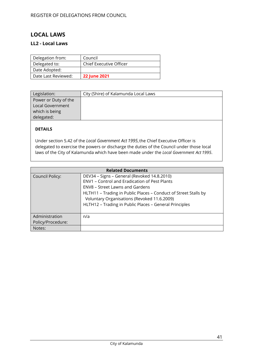# <span id="page-40-0"></span>**LOCAL LAWS**

### <span id="page-40-1"></span>**LL2 - Local Laws**

| Delegation from:    | Council                 |
|---------------------|-------------------------|
| Delegated to:       | Chief Executive Officer |
| Date Adopted:       |                         |
| Date Last Reviewed: | <b>22 June 2021</b>     |

| City (Shire) of Kalamunda Local Laws |
|--------------------------------------|
|                                      |
|                                      |
|                                      |
|                                      |
|                                      |

### **DETAILS**

Under section 5.42 of the *Local Government Act 1995*,the Chief Executive Officer is delegated to exercise the powers or discharge the duties of the Council under those local laws of the City of Kalamunda which have been made under the *Local Government Act 1995*.

| <b>Related Documents</b>            |                                                                                                                                                                                                                                                                                                                           |  |
|-------------------------------------|---------------------------------------------------------------------------------------------------------------------------------------------------------------------------------------------------------------------------------------------------------------------------------------------------------------------------|--|
| <b>Council Policy:</b>              | DEV34 - Signs - General (Revoked 14.8.2010)<br><b>ENV1 - Control and Eradication of Pest Plants</b><br><b>ENV8 - Street Lawns and Gardens</b><br>HLTH11 - Trading in Public Places - Conduct of Street Stalls by<br>Voluntary Organisations (Revoked 11.6.2009)<br>HLTH12 - Trading in Public Places - General Principles |  |
| Administration<br>Policy/Procedure: | n/a                                                                                                                                                                                                                                                                                                                       |  |
| Notes:                              |                                                                                                                                                                                                                                                                                                                           |  |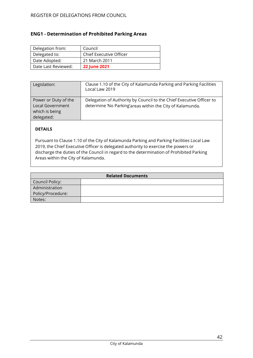# <span id="page-41-0"></span>**ENG1 - Determination of Prohibited Parking Areas**

| Delegation from:    | Council                 |
|---------------------|-------------------------|
| Delegated to:       | Chief Executive Officer |
| Date Adopted:       | 21 March 2011           |
| Date Last Reviewed: | <b>22 June 2021</b>     |

| Legislation:                                                                    | Clause 1.10 of the City of Kalamunda Parking and Parking Facilities<br>Local Law 2019                                             |
|---------------------------------------------------------------------------------|-----------------------------------------------------------------------------------------------------------------------------------|
| Power or Duty of the<br><b>Local Government</b><br>which is being<br>delegated: | Delegation of Authority by Council to the Chief Executive Officer to<br>determine 'No Parking'areas within the City of Kalamunda. |

# **DETAILS**

Pursuant to Clause 1.10 of the City of Kalamunda Parking and Parking Facilities Local Law 2019, the Chief Executive Officer is delegated authority to exercise the powers or discharge the duties of the Council in regard to the determination of Prohibited Parking Areas within the City of Kalamunda.

| <b>Related Documents</b> |  |  |
|--------------------------|--|--|
| Council Policy:          |  |  |
| Administration           |  |  |
| Policy/Procedure:        |  |  |
| Notes:                   |  |  |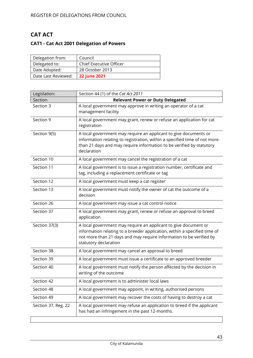# <span id="page-42-0"></span>**CAT ACT**

# <span id="page-42-1"></span>**CAT1 - Cat Act 2001 Delegation of Powers**

| Delegation from:    | Council                 |
|---------------------|-------------------------|
| Delegated to:       | Chief Executive Officer |
| Date Adopted:       | 28 October 2013         |
| Date Last Reviewed: | <b>22 June 2021</b>     |

| Legislation:        | Section 44 (1) of the Cat Act 2011                                                                                                                                                                                                           |
|---------------------|----------------------------------------------------------------------------------------------------------------------------------------------------------------------------------------------------------------------------------------------|
| Section             | <b>Relevant Power or Duty Delegated</b>                                                                                                                                                                                                      |
| Section 3           | A local government may approve in writing an operator of a cat<br>management facility                                                                                                                                                        |
| Section 9           | A local government may grant, renew or refuse an application for cat<br>registration                                                                                                                                                         |
| Section 9(5)        | A local government may require an applicant to give documents or<br>information relating to registration, within a specified time of not more<br>than 21 days and may require information to be verified by statutory<br>declaration         |
| Section 10          | A local government may cancel the registration of a cat                                                                                                                                                                                      |
| Section 11          | A local government is to issue a registration number, certificate and<br>tag, including a replacement certificate or tag                                                                                                                     |
| Section 12          | A local government must keep a cat register                                                                                                                                                                                                  |
| Section 13          | A local government must notify the owner of cat the outcome of a<br>decision                                                                                                                                                                 |
| Section 26          | A local government may issue a cat control notice                                                                                                                                                                                            |
| Section 37          | A local government may grant, renew or refuse an approval to breed<br>application                                                                                                                                                            |
| Section 37(3)       | A local government may require an applicant to give document or<br>information relating to a breeder application, within a specified time of<br>not more than 21 days and may require information to be verified by<br>statutory declaration |
| Section 38          | A local government may cancel an approval to breed                                                                                                                                                                                           |
| Section 39          | A local government must issue a certificate to an approved breeder                                                                                                                                                                           |
| Section 40          | A local government must notify the person affected by the decision in<br>writing of the outcome                                                                                                                                              |
| Section 42          | A local government is to administer local laws                                                                                                                                                                                               |
| Section 48          | A local government may appoint, in writing, authorised persons                                                                                                                                                                               |
| Section 49          | A local government may recover the costs of having to destroy a cat                                                                                                                                                                          |
| Section 37, Reg. 22 | A local government may refuse an application to breed if the applicant<br>has had an infringement in the past 12-months.                                                                                                                     |
|                     |                                                                                                                                                                                                                                              |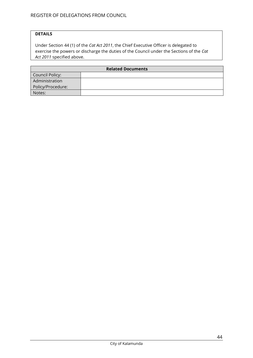### **DETAILS**

Under Section 44 (1) of the *Cat Act 2011*, the Chief Executive Officer is delegated to exercise the powers or discharge the duties of the Council under the Sections of the *Cat Act 2011* specified above.

| <b>Related Documents</b> |  |
|--------------------------|--|
| Council Policy:          |  |
| Administration           |  |
| Policy/Procedure:        |  |
| Notes:                   |  |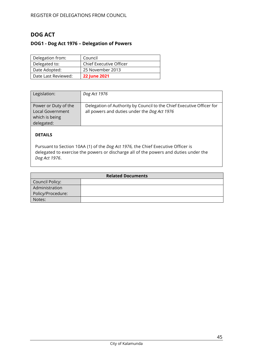# <span id="page-44-0"></span>**DOG ACT**

# <span id="page-44-1"></span>**DOG1 - Dog Act 1976 – Delegation of Powers**

| Delegation from:    | Council                        |
|---------------------|--------------------------------|
| Delegated to:       | <b>Chief Executive Officer</b> |
| Date Adopted:       | 25 November 2013               |
| Date Last Reviewed: | <b>22 June 2021</b>            |

| Legislation:                                                                    | Dog Act 1976                                                                                                          |
|---------------------------------------------------------------------------------|-----------------------------------------------------------------------------------------------------------------------|
| Power or Duty of the<br><b>Local Government</b><br>which is being<br>delegated: | Delegation of Authority by Council to the Chief Executive Officer for<br>all powers and duties under the Dog Act 1976 |

# **DETAILS**

Pursuant to Section 10AA (1) of the *Dog Act 1976,* the Chief Executive Officer is delegated to exercise the powers or discharge all of the powers and duties under the *Dog Act 1976*.

| <b>Related Documents</b> |  |
|--------------------------|--|
| Council Policy:          |  |
| Administration           |  |
| Policy/Procedure:        |  |
| Notes:                   |  |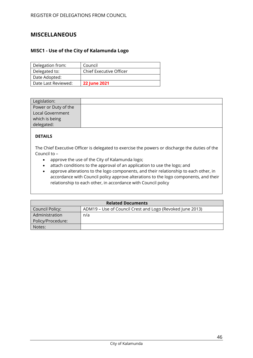# <span id="page-45-0"></span>**MISCELLANEOUS**

### <span id="page-45-1"></span>**MISC1 - Use of the City of Kalamunda Logo**

| Delegation from:    | Council                        |
|---------------------|--------------------------------|
| Delegated to:       | <b>Chief Executive Officer</b> |
| Date Adopted:       |                                |
| Date Last Reviewed: | <b>22 June 2021</b>            |

| Legislation:         |  |
|----------------------|--|
| Power or Duty of the |  |
| Local Government     |  |
| which is being       |  |
| delegated:           |  |

### **DETAILS**

The Chief Executive Officer is delegated to exercise the powers or discharge the duties of the Council to –

- approve the use of the City of Kalamunda logo;
- attach conditions to the approval of an application to use the logo; and
- approve alterations to the logo components, and their relationship to each other, in accordance with Council policy approve alterations to the logo components, and their relationship to each other, in accordance with Council policy

| <b>Related Documents</b> |                                                           |  |
|--------------------------|-----------------------------------------------------------|--|
| Council Policy:          | ADM19 – Use of Council Crest and Logo (Revoked June 2013) |  |
| Administration           | n/a                                                       |  |
| Policy/Procedure:        |                                                           |  |
| Notes:                   |                                                           |  |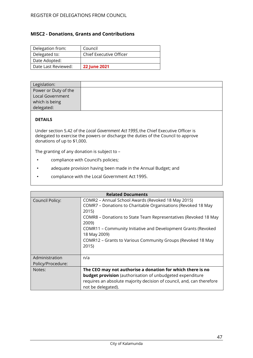### <span id="page-46-0"></span>**MISC2 - Donations, Grants and Contributions**

| Delegation from:    | Council                 |
|---------------------|-------------------------|
| Delegated to:       | Chief Executive Officer |
| Date Adopted:       |                         |
| Date Last Reviewed: | <b>22 June 2021</b>     |

| Legislation:         |  |
|----------------------|--|
| Power or Duty of the |  |
| Local Government     |  |
| which is being       |  |
| delegated:           |  |

### **DETAILS**

Under section 5.42 of the *Local Government Act 1995*,the Chief Executive Officer is delegated to exercise the powers or discharge the duties of the Council to approve donations of up to \$1,000.

The granting of any donation is subject to –

- compliance with Council's policies;
- adequate provision having been made in the Annual Budget; and
- compliance with the Local Government Act 1995.

| <b>Related Documents</b>            |                                                                                                                                                                                                                                                                                                                                                                   |
|-------------------------------------|-------------------------------------------------------------------------------------------------------------------------------------------------------------------------------------------------------------------------------------------------------------------------------------------------------------------------------------------------------------------|
| <b>Council Policy:</b>              | COMR2 - Annual School Awards (Revoked 18 May 2015)<br>COMR7 - Donations to Charitable Organisations (Revoked 18 May<br>2015)<br>COMR8 - Donations to State Team Representatives (Revoked 18 May<br>2009)<br>COMR11 - Community Initiative and Development Grants (Revoked<br>18 May 2009)<br>COMR12 - Grants to Various Community Groups (Revoked 18 May<br>2015) |
| Administration<br>Policy/Procedure: | n/a                                                                                                                                                                                                                                                                                                                                                               |
| Notes:                              | The CEO may not authorise a donation for which there is no<br><b>budget provision</b> (authorisation of unbudgeted expenditure<br>requires an absolute majority decision of council, and, can therefore<br>not be delegated).                                                                                                                                     |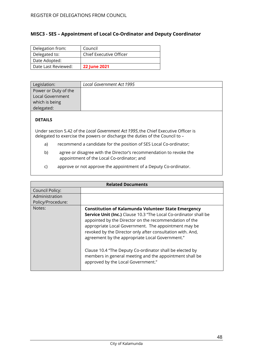### <span id="page-47-0"></span>**MISC3 - SES – Appointment of Local Co-Ordinator and Deputy Coordinator**

| Delegation from:    | Council                 |
|---------------------|-------------------------|
| Delegated to:       | Chief Executive Officer |
| Date Adopted:       |                         |
| Date Last Reviewed: | <b>22 June 2021</b>     |

| Legislation:         | Local Government Act 1995 |
|----------------------|---------------------------|
| Power or Duty of the |                           |
| Local Government     |                           |
| which is being       |                           |
| delegated:           |                           |

### **DETAILS**

Under section 5.42 of the *Local Government Act 1995*,the Chief Executive Officer is delegated to exercise the powers or discharge the duties of the Council to –

- a) recommend a candidate for the position of SES Local Co-ordinator;
- b) agree or disagree with the Director's recommendation to revoke the appointment of the Local Co-ordinator; and
- c) approve or not approve the appointment of a Deputy Co-ordinator.

| <b>Related Documents</b> |                                                                                                                                                                                                                                                                                                                                                                                                                                                                         |
|--------------------------|-------------------------------------------------------------------------------------------------------------------------------------------------------------------------------------------------------------------------------------------------------------------------------------------------------------------------------------------------------------------------------------------------------------------------------------------------------------------------|
| <b>Council Policy:</b>   |                                                                                                                                                                                                                                                                                                                                                                                                                                                                         |
| Administration           |                                                                                                                                                                                                                                                                                                                                                                                                                                                                         |
| Policy/Procedure:        |                                                                                                                                                                                                                                                                                                                                                                                                                                                                         |
| Notes:                   | <b>Constitution of Kalamunda Volunteer State Emergency</b>                                                                                                                                                                                                                                                                                                                                                                                                              |
|                          | <b>Service Unit (Inc.)</b> Clause 10.3 "The Local Co-ordinator shall be<br>appointed by the Director on the recommendation of the<br>appropriate Local Government. The appointment may be<br>revoked by the Director only after consultation with. And,<br>agreement by the appropriate Local Government."<br>Clause 10.4 "The Deputy Co-ordinator shall be elected by<br>members in general meeting and the appointment shall be<br>approved by the Local Government." |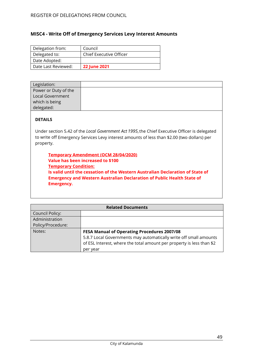### <span id="page-48-0"></span>**MISC4 - Write Off of Emergency Services Levy Interest Amounts**

| Delegation from:    | Council                 |
|---------------------|-------------------------|
| Delegated to:       | Chief Executive Officer |
| Date Adopted:       |                         |
| Date Last Reviewed: | <b>22 June 2021</b>     |

| Legislation:            |  |
|-------------------------|--|
| Power or Duty of the    |  |
| <b>Local Government</b> |  |
| which is being          |  |
| delegated:              |  |

### **DETAILS**

Under section 5.42 of the *Local Government Act 1995*,the Chief Executive Officer is delegated to write off Emergency Services Levy interest amounts of less than \$2.00 (two dollars) per property.

**Temporary Amendment (OCM 28/04/2020) Value has been increased to \$100 Temporary Condition: Is valid until the cessation of the Western Australian Declaration of State of Emergency and Western Australian Declaration of Public Health State of Emergency.**

| <b>Related Documents</b> |                                                                       |
|--------------------------|-----------------------------------------------------------------------|
| <b>Council Policy:</b>   |                                                                       |
| Administration           |                                                                       |
| Policy/Procedure:        |                                                                       |
| Notes:                   | <b>FESA Manual of Operating Procedures 2007/08</b>                    |
|                          | 5.8.7 Local Governments may automatically write off small amounts     |
|                          | of ESL Interest, where the total amount per property is less than \$2 |
|                          | per year                                                              |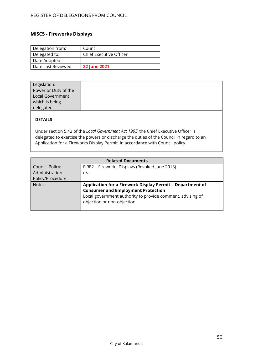# <span id="page-49-0"></span>**MISC5 - Fireworks Displays**

| Delegation from:    | Council                        |
|---------------------|--------------------------------|
| Delegated to:       | <b>Chief Executive Officer</b> |
| Date Adopted:       |                                |
| Date Last Reviewed: | <b>22 June 2021</b>            |

| Legislation:         |  |
|----------------------|--|
| Power or Duty of the |  |
| Local Government     |  |
| which is being       |  |
| delegated:           |  |

# **DETAILS**

Under section 5.42 of the *Local Government Act 1995,*the Chief Executive Officer is delegated to exercise the powers or discharge the duties of the Council in regard to an Application for a Fireworks Display Permit, in accordance with Council policy.

| <b>Related Documents</b> |                                                            |  |
|--------------------------|------------------------------------------------------------|--|
| <b>Council Policy:</b>   | FIRE2 - Fireworks Displays (Revoked June 2013)             |  |
| Administration           | n/a                                                        |  |
| Policy/Procedure:        |                                                            |  |
| Notes:                   | Application for a Firework Display Permit - Department of  |  |
|                          | <b>Consumer and Employment Protection</b>                  |  |
|                          | Local government authority to provide comment, advising of |  |
|                          | objection or non-objection                                 |  |
|                          |                                                            |  |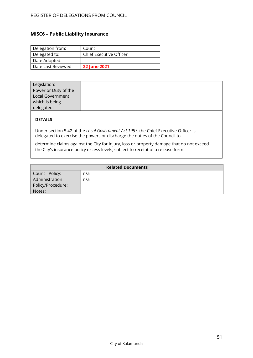# <span id="page-50-0"></span>**MISC6 – Public Liability Insurance**

| Delegation from:    | Council                 |
|---------------------|-------------------------|
| Delegated to:       | Chief Executive Officer |
| Date Adopted:       |                         |
| Date Last Reviewed: | <b>22 June 2021</b>     |

| Legislation:         |  |
|----------------------|--|
| Power or Duty of the |  |
| Local Government     |  |
| which is being       |  |
| delegated:           |  |

### **DETAILS**

Under section 5.42 of the *Local Government Act 1995*,the Chief Executive Officer is delegated to exercise the powers or discharge the duties of the Council to –

determine claims against the City for injury, loss or property damage that do not exceed the City's insurance policy excess levels, subject to receipt of a release form.

| <b>Related Documents</b> |     |  |
|--------------------------|-----|--|
| Council Policy:          | n/a |  |
| Administration           | n/a |  |
| Policy/Procedure:        |     |  |
| Notes:                   |     |  |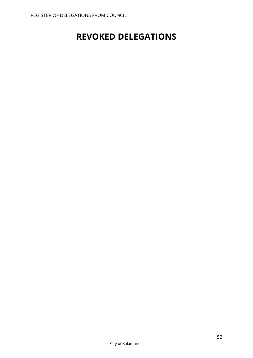# <span id="page-51-0"></span>**REVOKED DELEGATIONS**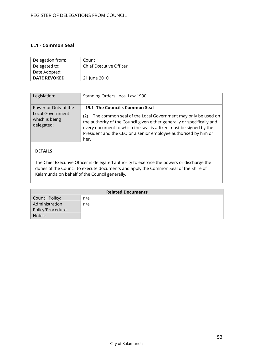### <span id="page-52-0"></span>**LL1 - Common Seal**

| Delegation from:    | Council                        |
|---------------------|--------------------------------|
| Delegated to:       | <b>Chief Executive Officer</b> |
| Date Adopted:       |                                |
| <b>DATE REVOKED</b> | 21 June 2010                   |

| Legislation:                                                                    | Standing Orders Local Law 1990                                                                                                                                                                                                                                                                                                  |
|---------------------------------------------------------------------------------|---------------------------------------------------------------------------------------------------------------------------------------------------------------------------------------------------------------------------------------------------------------------------------------------------------------------------------|
| Power or Duty of the<br><b>Local Government</b><br>which is being<br>delegated: | 19.1 The Council's Common Seal<br>The common seal of the Local Government may only be used on<br>(2)<br>the authority of the Council given either generally or specifically and<br>every document to which the seal is affixed must be signed by the<br>President and the CEO or a senior employee authorised by him or<br>her. |
|                                                                                 |                                                                                                                                                                                                                                                                                                                                 |

### **DETAILS**

The Chief Executive Officer is delegated authority to exercise the powers or discharge the duties of the Council to execute documents and apply the Common Seal of the Shire of Kalamunda on behalf of the Council generally.

| <b>Related Documents</b> |     |
|--------------------------|-----|
| Council Policy:          | n/a |
| Administration           | n/a |
| Policy/Procedure:        |     |
| Notes:                   |     |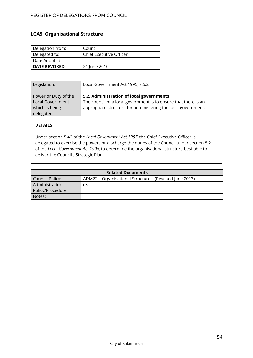### <span id="page-53-0"></span>**LGA5 Organisational Structure**

| Delegation from:    | Council                 |
|---------------------|-------------------------|
| Delegated to:       | Chief Executive Officer |
| Date Adopted:       |                         |
| <b>DATE REVOKED</b> | 21 June 2010            |

| Legislation:                                                                    | Local Government Act 1995, s.5.2                                                                                                                                             |
|---------------------------------------------------------------------------------|------------------------------------------------------------------------------------------------------------------------------------------------------------------------------|
| Power or Duty of the<br><b>Local Government</b><br>which is being<br>delegated: | 5.2. Administration of local governments<br>The council of a local government is to ensure that there is an<br>appropriate structure for administering the local government. |

### **DETAILS**

Under section 5.42 of the *Local Government Act 1995*,the Chief Executive Officer is delegated to exercise the powers or discharge the duties of the Council under section 5.2 of the *Local Government Act 1995*,to determine the organisational structure best able to deliver the Council's Strategic Plan.

| <b>Related Documents</b> |                                                        |  |
|--------------------------|--------------------------------------------------------|--|
| Council Policy:          | ADM22 - Organisational Structure - (Revoked June 2013) |  |
| Administration           | n/a                                                    |  |
| Policy/Procedure:        |                                                        |  |
| Notes:                   |                                                        |  |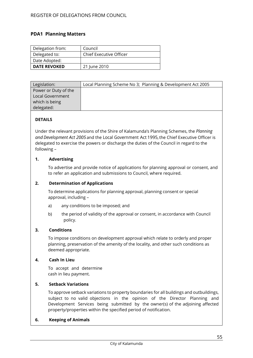### <span id="page-54-0"></span>**PDA1 Planning Matters**

| Delegation from:    | Council                 |
|---------------------|-------------------------|
| Delegated to:       | Chief Executive Officer |
| Date Adopted:       |                         |
| <b>DATE REVOKED</b> | 21 June 2010            |

| Legislation:         | Local Planning Scheme No 3; Planning & Development Act 2005 |
|----------------------|-------------------------------------------------------------|
| Power or Duty of the |                                                             |
| Local Government     |                                                             |
| which is being       |                                                             |
| delegated:           |                                                             |

### **DETAILS**

Under the relevant provisions of the Shire of Kalamunda's Planning Schemes, the *Planning*  and Development Act 2005 and the Local Government Act 1995, the Chief Executive Officer is delegated to exercise the powers or discharge the duties of the Council in regard to the following –

### **1. Advertising**

To advertise and provide notice of applications for planning approval or consent, and to refer an application and submissions to Council, where required.

### **2. Determination of Applications**

To determine applications for planning approval, planning consent or special approval, including –

- a) any conditions to be imposed; and
- b) the period of validity of the approval or consent, in accordance with Council policy.

### **3. Conditions**

To impose conditions on development approval which relate to orderly and proper planning, preservation of the amenity of the locality, and other such conditions as deemed appropriate.

### **4. Cash In Lieu**

To accept and determine cash in lieu payment.

### **5. Setback Variations**

To approve setback variations to property boundaries for all buildings and outbuildings, subject to no valid objections in the opinion of the Director Planning and Development Services being submitted by the owner(s) of the adjoining affected property/properties within the specified period of notification.

### **6. Keeping of Animals**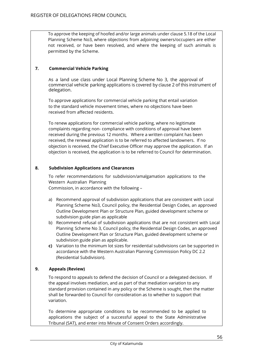To approve the keeping of hoofed and/or large animals under clause 5.18 of the Local Planning Scheme No3, where objections from adjoining owners/occupiers are either not received, or have been resolved, and where the keeping of such animals is permitted by the Scheme.

### **7. Commercial Vehicle Parking**

As a land use class under Local Planning Scheme No 3, the approval of commercial vehicle parking applications is covered by clause 2 of this instrument of delegation.

To approve applications for commercial vehicle parking that entail variation to the standard vehicle movement times, where no objections have been received from affected residents.

To renew applications for commercial vehicle parking, where no legitimate complaints regarding non- compliance with conditions of approval have been received during the previous 12 months. Where a written complaint has been received, the renewal application is to be referred to affected landowners. If no objection is received, the Chief Executive Officer may approve the application. If an objection is received, the application is to be referred to Council for determination.

### **8. Subdivision Applications and Clearances**

To refer recommendations for subdivision/amalgamation applications to the Western Australian Planning Commission, in accordance with the following –

- a) Recommend approval of subdivision applications that are consistent with Local Planning Scheme No3, Council policy, the Residential Design Codes, an approved Outline Development Plan or Structure Plan, guided development scheme or subdivision guide plan as applicable
- b) Recommend refusal of subdivision applications that are not consistent with Local Planning Scheme No 3, Council policy, the Residential Design Codes, an approved Outline Development Plan or Structure Plan, guided development scheme or subdivision guide plan as applicable.
- **c)** Variation to the minimum lot sizes for residential subdivisions can be supported in accordance with the Western Australian Planning Commission Policy DC 2.2 (Residential Subdivision).

### **9. Appeals (Review)**

To respond to appeals to defend the decision of Council or a delegated decision. If the appeal involves mediation, and as part of that mediation variation to any standard provision contained in any policy or the Scheme is sought, then the matter shall be forwarded to Council for consideration as to whether to support that variation.

To determine appropriate conditions to be recommended to be applied to applications the subject of a successful appeal to the State Administrative Tribunal (SAT), and enter into Minute of Consent Orders accordingly.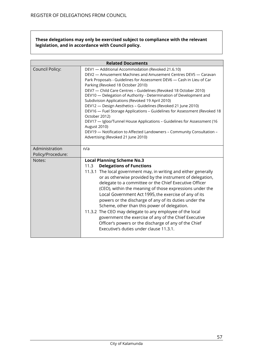**These delegations may only be exercised subject to compliance with the relevant legislation, and in accordance with Council policy.**

|                   | <b>Related Documents</b>                                                                                                                                                                                                                                                                                                                                                                                                                                                                                                                                                                                                                                                                                                                                                                                         |  |
|-------------------|------------------------------------------------------------------------------------------------------------------------------------------------------------------------------------------------------------------------------------------------------------------------------------------------------------------------------------------------------------------------------------------------------------------------------------------------------------------------------------------------------------------------------------------------------------------------------------------------------------------------------------------------------------------------------------------------------------------------------------------------------------------------------------------------------------------|--|
| Council Policy:   | DEV1 - Additional Accommodation (Revoked 21.6.10)<br>DEV2 - Amusement Machines and Amusement Centres DEV5 - Caravan<br>Park Proposals - Guidelines for Assessment DEV6 - Cash in Lieu of Car<br>Parking (Revoked 18 October 2010)<br>DEV7 - Child Care Centres - Guidelines (Revoked 18 October 2010)<br>DEV10 - Delegation of Authority - Determination of Development and<br>Subdivision Applications (Revoked 19 April 2010)<br>DEV12 - Design Aesthetics - Guidelines (Revoked 21 June 2010)<br>DEV16 - Fuel Storage Applications - Guidelines for Assessment (Revoked 18<br>October 2012)<br>DEV17 - Igloo/Tunnel House Applications - Guidelines for Assessment (16<br><b>August 2010)</b><br>DEV19 - Notification to Affected Landowners - Community Consultation -<br>Advertising (Revoked 21 June 2010) |  |
| Administration    | n/a                                                                                                                                                                                                                                                                                                                                                                                                                                                                                                                                                                                                                                                                                                                                                                                                              |  |
| Policy/Procedure: |                                                                                                                                                                                                                                                                                                                                                                                                                                                                                                                                                                                                                                                                                                                                                                                                                  |  |
| Notes:            | <b>Local Planning Scheme No.3</b><br><b>Delegations of Functions</b><br>11.3<br>11.3.1 The local government may, in writing and either generally<br>or as otherwise provided by the instrument of delegation,<br>delegate to a committee or the Chief Executive Officer<br>(CEO), within the meaning of those expressions under the<br>Local Government Act 1995, the exercise of any of its<br>powers or the discharge of any of its duties under the<br>Scheme, other than this power of delegation.<br>11.3.2 The CEO may delegate to any employee of the local<br>government the exercise of any of the Chief Executive<br>Officer's powers or the discharge of any of the Chief<br>Executive's duties under clause 11.3.1.                                                                                  |  |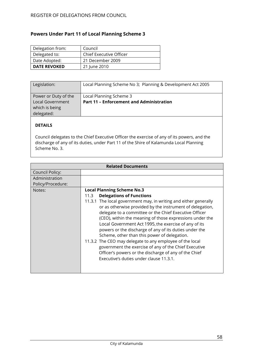# <span id="page-57-0"></span>**Powers Under Part 11 of Local Planning Scheme 3**

| Delegation from:    | Council                 |
|---------------------|-------------------------|
| Delegated to:       | Chief Executive Officer |
| Date Adopted:       | 21 December 2009        |
| <b>DATE REVOKED</b> | 21 June 2010            |

| Legislation:                                                                    | Local Planning Scheme No 3; Planning & Development Act 2005                |
|---------------------------------------------------------------------------------|----------------------------------------------------------------------------|
| Power or Duty of the<br><b>Local Government</b><br>which is being<br>delegated: | Local Planning Scheme 3<br><b>Part 11 - Enforcement and Administration</b> |

# **DETAILS**

Council delegates to the Chief Executive Officer the exercise of any of its powers, and the discharge of any of its duties, under Part 11 of the Shire of Kalamunda Local Planning Scheme No. 3.

| <b>Related Documents</b> |                                                                                                                                                                                                                                                                                                                                                                                                                                                                                                                                                                                                                                                                                                                                 |
|--------------------------|---------------------------------------------------------------------------------------------------------------------------------------------------------------------------------------------------------------------------------------------------------------------------------------------------------------------------------------------------------------------------------------------------------------------------------------------------------------------------------------------------------------------------------------------------------------------------------------------------------------------------------------------------------------------------------------------------------------------------------|
| Council Policy:          |                                                                                                                                                                                                                                                                                                                                                                                                                                                                                                                                                                                                                                                                                                                                 |
| Administration           |                                                                                                                                                                                                                                                                                                                                                                                                                                                                                                                                                                                                                                                                                                                                 |
| Policy/Procedure:        |                                                                                                                                                                                                                                                                                                                                                                                                                                                                                                                                                                                                                                                                                                                                 |
| Notes:                   | <b>Local Planning Scheme No.3</b><br><b>Delegations of Functions</b><br>11.3<br>11.3.1 The local government may, in writing and either generally<br>or as otherwise provided by the instrument of delegation,<br>delegate to a committee or the Chief Executive Officer<br>(CEO), within the meaning of those expressions under the<br>Local Government Act 1995, the exercise of any of its<br>powers or the discharge of any of its duties under the<br>Scheme, other than this power of delegation.<br>11.3.2 The CEO may delegate to any employee of the local<br>government the exercise of any of the Chief Executive<br>Officer's powers or the discharge of any of the Chief<br>Executive's duties under clause 11.3.1. |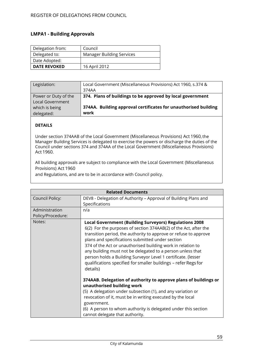### <span id="page-58-0"></span>**LMPA1 - Building Approvals**

| Delegation from:    | Council                          |
|---------------------|----------------------------------|
| Delegated to:       | <b>Manager Building Services</b> |
| Date Adopted:       |                                  |
| <b>DATE REVOKED</b> | 16 April 2012                    |

| Legislation:            | Local Government (Miscellaneous Provisions) Act 1960, s.374 &<br>374AA |
|-------------------------|------------------------------------------------------------------------|
| Power or Duty of the    | 374. Plans of buildings to be approved by local government             |
| <b>Local Government</b> |                                                                        |
| which is being          | 374AA. Building approval certificates for unauthorised building        |
| delegated:              | work                                                                   |

### **DETAILS**

Under section 374AAB of the Local Government (Miscellaneous Provisions) Act 1960,the Manager Building Services is delegated to exercise the powers or discharge the duties of the Council under sections 374 and 374AA of the Local Government (Miscellaneous Provisions) Act 1960.

All building approvals are subject to compliance with the Local Government (Miscellaneous Provisions) Act 1960

and Regulations, and are to be in accordance with Council policy.

| <b>Related Documents</b> |                                                                                                                                                                                                                                                                                                                                                                                                                                                                                                                                        |
|--------------------------|----------------------------------------------------------------------------------------------------------------------------------------------------------------------------------------------------------------------------------------------------------------------------------------------------------------------------------------------------------------------------------------------------------------------------------------------------------------------------------------------------------------------------------------|
| Council Policy:          | DEV8 - Delegation of Authority - Approval of Building Plans and                                                                                                                                                                                                                                                                                                                                                                                                                                                                        |
|                          | Specifications                                                                                                                                                                                                                                                                                                                                                                                                                                                                                                                         |
| Administration           | n/a                                                                                                                                                                                                                                                                                                                                                                                                                                                                                                                                    |
| Policy/Procedure:        |                                                                                                                                                                                                                                                                                                                                                                                                                                                                                                                                        |
| Notes:                   | <b>Local Government (Building Surveyors) Regulations 2008</b><br>6(2) For the purposes of section 374AAB(2) of the Act, after the<br>transition period, the authority to approve or refuse to approve<br>plans and specifications submitted under section<br>374 of the Act or unauthorised building work in relation to<br>any building must not be delegated to a person unless that<br>person holds a Building Surveyor Level 1 certificate. (lesser<br>qualifications specified for smaller buildings - refer Regs for<br>details) |
|                          | 374AAB. Delegation of authority to approve plans of buildings or<br>unauthorised building work<br>(5) A delegation under subsection (1), and any variation or<br>revocation of it, must be in writing executed by the local<br>government.<br>(6) A person to whom authority is delegated under this section<br>cannot delegate that authority.                                                                                                                                                                                        |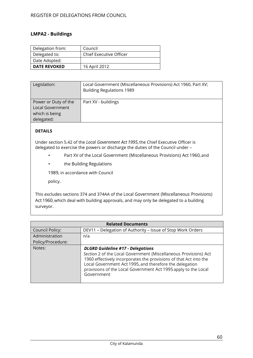### <span id="page-59-0"></span>**LMPA2 - Buildings**

| Delegation from:    | Council                        |
|---------------------|--------------------------------|
| Delegated to:       | <b>Chief Executive Officer</b> |
| Date Adopted:       |                                |
| <b>DATE REVOKED</b> | 16 April 2012                  |

| Legislation:         | Local Government (Miscellaneous Provisions) Act 1960, Part XV;<br><b>Building Regulations 1989</b> |
|----------------------|----------------------------------------------------------------------------------------------------|
| Power or Duty of the | Part XV - buildings                                                                                |
| Local Government     |                                                                                                    |
| which is being       |                                                                                                    |
| delegated:           |                                                                                                    |

### **DETAILS**

Under section 5.42 of the *Local Government Act 1995*,the Chief Executive Officer is delegated to exercise the powers or discharge the duties of the Council under –

- Part XV of the Local Government (Miscellaneous Provisions) Act 1960,and
- the Building Regulations

1989, in accordance with Council

policy.

This excludes sections 374 and 374AA of the Local Government (Miscellaneous Provisions) Act 1960,which deal with building approvals, and may only be delegated to a building surveyor.

| <b>Related Documents</b> |                                                                                                                                                                                                                                                                                                                              |  |
|--------------------------|------------------------------------------------------------------------------------------------------------------------------------------------------------------------------------------------------------------------------------------------------------------------------------------------------------------------------|--|
| Council Policy:          | DEV11 - Delegation of Authority - Issue of Stop Work Orders                                                                                                                                                                                                                                                                  |  |
| Administration           | n/a                                                                                                                                                                                                                                                                                                                          |  |
| Policy/Procedure:        |                                                                                                                                                                                                                                                                                                                              |  |
| Notes:                   | <b>DLGRD Guideline #17 - Delegations</b><br>Section 2 of the Local Government (Miscellaneous Provisions) Act<br>1960 effectively incorporates the provisions of that Act into the<br>Local Government Act 1995, and therefore the delegation<br>provisions of the Local Government Act 1995 apply to the Local<br>Government |  |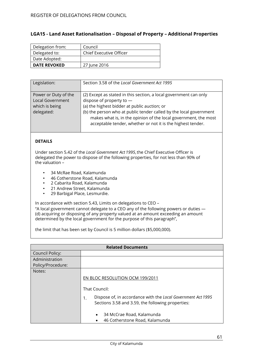### <span id="page-60-0"></span>**LGA15 - Land Asset Rationalisation – Disposal of Property – Additional Properties**

| Delegation from:    | Council                 |
|---------------------|-------------------------|
| Delegated to:       | Chief Executive Officer |
| Date Adopted:       |                         |
| <b>DATE REVOKED</b> | 27 June 2016            |

| Legislation:                                                                    | Section 3.58 of the Local Government Act 1995                                                                                                                                                                                                                                                                                                           |
|---------------------------------------------------------------------------------|---------------------------------------------------------------------------------------------------------------------------------------------------------------------------------------------------------------------------------------------------------------------------------------------------------------------------------------------------------|
| Power or Duty of the<br><b>Local Government</b><br>which is being<br>delegated: | (2) Except as stated in this section, a local government can only<br>dispose of property to $-$<br>(a) the highest bidder at public auction; or<br>(b) the person who at public tender called by the local government<br>makes what is, in the opinion of the local government, the most<br>acceptable tender, whether or not it is the highest tender. |

#### **DETAILS**

Under section 5.42 of the *Local Government Act 1995*,the Chief Executive Officer is delegated the power to dispose of the following properties, for not less than 90% of the valuation –

- 34 McRae Road, Kalamunda
- 46 Cotherstone Road, Kalamunda
- 2 Cabarita Road, Kalamunda
- 21 Andrew Street, Kalamunda
- 29 Barbigal Place, Lesmurdie.

In accordance with section 5.43, Limits on delegations to CEO –

"A local government cannot delegate to a CEO any of the following powers or duties — (d) acquiring or disposing of any property valued at an amount exceeding an amount determined by the local government for the purpose of this paragraph",

the limit that has been set by Council is 5 million dollars (\$5,000,000).

|                   | <b>Related Documents</b>                                                                                                                                                                                                                                |
|-------------------|---------------------------------------------------------------------------------------------------------------------------------------------------------------------------------------------------------------------------------------------------------|
| Council Policy:   |                                                                                                                                                                                                                                                         |
| Administration    |                                                                                                                                                                                                                                                         |
| Policy/Procedure: |                                                                                                                                                                                                                                                         |
| Notes:            | EN BLOC RESOLUTION OCM 199/2011<br>That Council:<br>Dispose of, in accordance with the Local Government Act 1995<br>1.<br>Sections 3.58 and 3.59, the following properties:<br>34 McCrae Road, Kalamunda<br>$\bullet$<br>46 Cotherstone Road, Kalamunda |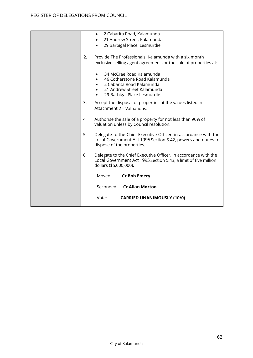|    | 2 Cabarita Road, Kalamunda<br>$\bullet$                                                                                                                           |
|----|-------------------------------------------------------------------------------------------------------------------------------------------------------------------|
|    | 21 Andrew Street, Kalamunda                                                                                                                                       |
|    | 29 Barbigal Place, Lesmurdie                                                                                                                                      |
| 2. | Provide The Professionals, Kalamunda with a six month                                                                                                             |
|    | exclusive selling agent agreement for the sale of properties at:                                                                                                  |
|    | 34 McCrae Road Kalamunda<br>46 Cotherstone Road Kalamunda<br>2 Cabarita Road Kalamunda<br>21 Andrew Street Kalamunda<br>29 Barbigal Place Lesmurdie.<br>$\bullet$ |
| 3. | Accept the disposal of properties at the values listed in<br>Attachment 2 - Valuations.                                                                           |
| 4. | Authorise the sale of a property for not less than 90% of<br>valuation unless by Council resolution.                                                              |
| 5. | Delegate to the Chief Executive Officer, in accordance with the<br>Local Government Act 1995 Section 5.42, powers and duties to<br>dispose of the properties.     |
| 6. | Delegate to the Chief Executive Officer, in accordance with the<br>Local Government Act 1995 Section 5.43, a limit of five million<br>dollars (\$5,000,000).      |
|    | Moved:<br><b>Cr Bob Emery</b>                                                                                                                                     |
|    | Seconded: Cr Allan Morton                                                                                                                                         |
|    | Vote:<br><b>CARRIED UNANIMOUSLY (10/0)</b>                                                                                                                        |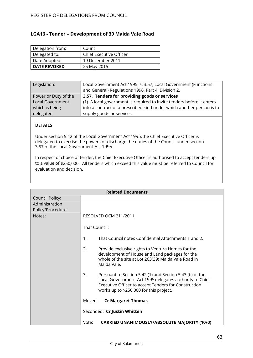<span id="page-62-0"></span>

| Delegation from:    | Council                 |
|---------------------|-------------------------|
| Delegated to:       | Chief Executive Officer |
| Date Adopted:       | 19 December 2011        |
| <b>DATE REVOKED</b> | 25 May 2015             |

| Legislation:            | Local Government Act 1995, s. 3.57; Local Government (Functions       |
|-------------------------|-----------------------------------------------------------------------|
|                         | and General) Regulations 1996, Part 4, Division 2.                    |
| Power or Duty of the    | 3.57. Tenders for providing goods or services                         |
| <b>Local Government</b> | (1) A local government is required to invite tenders before it enters |
| which is being          | into a contract of a prescribed kind under which another person is to |
| delegated:              | supply goods or services.                                             |

### **DETAILS**

Under section 5.42 of the Local Government Act 1995, the Chief Executive Officer is delegated to exercise the powers or discharge the duties of the Council under section 3.57 of the Local Government Act 1995.

In respect of choice of tender, the Chief Executive Officer is authorised to accept tenders up to a value of \$250,000. All tenders which exceed this value must be referred to Council for evaluation and decision.

| <b>Related Documents</b> |                                                                                                                                                                                                                             |
|--------------------------|-----------------------------------------------------------------------------------------------------------------------------------------------------------------------------------------------------------------------------|
| <b>Council Policy:</b>   |                                                                                                                                                                                                                             |
| Administration           |                                                                                                                                                                                                                             |
| Policy/Procedure:        |                                                                                                                                                                                                                             |
| Notes:                   | <b>RESOLVED OCM 211/2011</b>                                                                                                                                                                                                |
|                          | That Council:                                                                                                                                                                                                               |
|                          | 1.<br>That Council notes Confidential Attachments 1 and 2.                                                                                                                                                                  |
|                          | 2.<br>Provide exclusive rights to Ventura Homes for the<br>development of House and Land packages for the<br>whole of the site at Lot 263(39) Maida Vale Road in<br>Maida Vale.                                             |
|                          | 3.<br>Pursuant to Section 5.42 (1) and Section 5.43 (b) of the<br>Local Government Act 1995 delegates authority to Chief<br>Executive Officer to accept Tenders for Construction<br>works up to \$250,000 for this project. |
|                          | <b>Cr Margaret Thomas</b><br>Moved:                                                                                                                                                                                         |
|                          | Seconded: Cr Justin Whitten                                                                                                                                                                                                 |
|                          | <b>CARRIED UNANIMOUSLY/ABSOLUTE MAJORITY (10/0)</b><br>Vote:                                                                                                                                                                |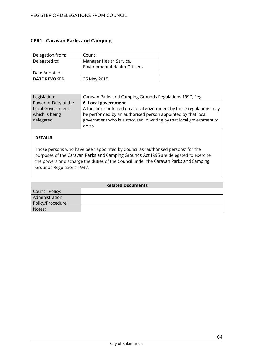### <span id="page-63-0"></span>**CPR1 - Caravan Parks and Camping**

| Delegation from:    | Council                              |
|---------------------|--------------------------------------|
| Delegated to:       | Manager Health Service,              |
|                     | <b>Environmental Health Officers</b> |
| Date Adopted:       |                                      |
| <b>DATE REVOKED</b> | 25 May 2015                          |

| Legislation:         | Caravan Parks and Camping Grounds Regulations 1997, Reg             |
|----------------------|---------------------------------------------------------------------|
| Power or Duty of the | 6. Local government                                                 |
| Local Government     | A function conferred on a local government by these regulations may |
| which is being       | be performed by an authorised person appointed by that local        |
| delegated:           | government who is authorised in writing by that local government to |
|                      | do so                                                               |

### **DETAILS**

Those persons who have been appointed by Council as "authorised persons" for the purposes of the Caravan Parks and Camping Grounds Act 1995 are delegated to exercise the powers or discharge the duties of the Council under the Caravan Parks and Camping Grounds Regulations 1997.

| <b>Related Documents</b> |  |
|--------------------------|--|
| Council Policy:          |  |
| Administration           |  |
| Policy/Procedure:        |  |
| Notes:                   |  |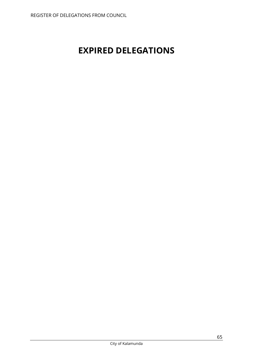# <span id="page-64-0"></span>**EXPIRED DELEGATIONS**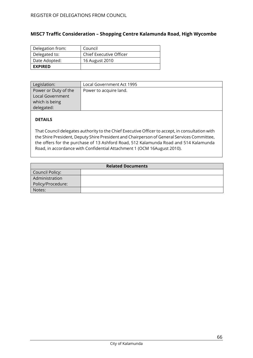# <span id="page-65-0"></span>**MISC7 Traffic Consideration – Shopping Centre Kalamunda Road, High Wycombe**

| Delegation from: | Council                 |
|------------------|-------------------------|
| Delegated to:    | Chief Executive Officer |
| Date Adopted:    | 16 August 2010          |
| <b>EXPIRED</b>   |                         |

| Legislation:         | Local Government Act 1995 |
|----------------------|---------------------------|
| Power or Duty of the | Power to acquire land.    |
| Local Government     |                           |
| which is being       |                           |
| delegated:           |                           |

### **DETAILS**

That Council delegates authority to the Chief Executive Officer to accept, in consultation with the Shire President, Deputy Shire President and Chairperson of General Services Committee, the offers for the purchase of 13 Ashford Road, 512 Kalamunda Road and 514 Kalamunda Road, in accordance with Confidential Attachment 1 (OCM 16August 2010).

| <b>Related Documents</b> |  |
|--------------------------|--|
| Council Policy:          |  |
| Administration           |  |
| Policy/Procedure:        |  |
| Notes:                   |  |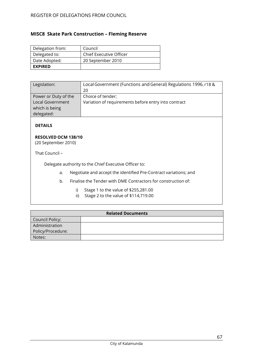# <span id="page-66-0"></span>**MISC8 Skate Park Construction – Fleming Reserve**

| Delegation from: | Council                 |
|------------------|-------------------------|
| Delegated to:    | Chief Executive Officer |
| Date Adopted:    | 20 September 2010       |
| <b>EXPIRED</b>   |                         |

| Legislation:            | Local Government (Functions and General) Regulations 1996, r18 & |
|-------------------------|------------------------------------------------------------------|
|                         | 20                                                               |
| Power or Duty of the    | Choice of tender;                                                |
| <b>Local Government</b> | Variation of requirements before entry into contract             |
| which is being          |                                                                  |
| delegated:              |                                                                  |

### **DETAILS**

### **RESOLVED OCM 138/10**

(20 September 2010)

That Council –

Delegate authority to the Chief Executive Officer to:

- a. Negotiate and accept the identified Pre-Contract variations; and
- b. Finalise the Tender with DME Contractors for construction of:
	- i) Stage 1 to the value of \$255,281.00
	- ii) Stage 2 to the value of \$114,719.00

| <b>Related Documents</b> |  |
|--------------------------|--|
| Council Policy:          |  |
| Administration           |  |
| Policy/Procedure:        |  |
| Notes:                   |  |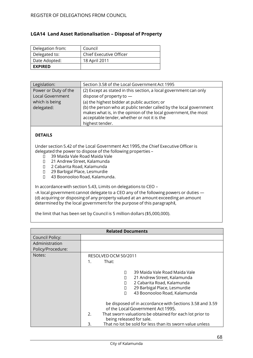### <span id="page-67-0"></span>**LGA14 Land Asset Rationalisation – Disposal of Property**

| Delegation from: | Council                 |
|------------------|-------------------------|
| Delegated to:    | Chief Executive Officer |
| Date Adopted:    | 18 April 2011           |
| <b>EXPIRED</b>   |                         |

| Legislation:            | Section 3.58 of the Local Government Act 1995                                                                                         |
|-------------------------|---------------------------------------------------------------------------------------------------------------------------------------|
| Power or Duty of the    | (2) Except as stated in this section, a local government can only                                                                     |
| <b>Local Government</b> | dispose of property to $-$                                                                                                            |
| which is being          | (a) the highest bidder at public auction; or                                                                                          |
| delegated:              | (b) the person who at public tender called by the local government<br>makes what is, in the opinion of the local government, the most |
|                         | acceptable tender, whether or not it is the<br>highest tender.                                                                        |
|                         |                                                                                                                                       |

### **DETAILS**

Under section 5.42 of the Local Government Act 1995, the Chief Executive Officer is delegated the power to dispose of the following properties –

- 39 Maida Vale Road Maida Vale
- 21 Andrew Street, Kalamunda
- 2 Cabarita Road, Kalamunda
- 29 Barbigal Place, Lesmurdie
- 43 Boonooloo Road, Kalamunda.

In accordance with section 5.43, Limits on delegations to CEO –

-A local government cannot delegate to a CEO any of the following powers or duties -(d) acquiring or disposing of any property valued at an amount exceeding an amount determined by the local governmentfor the purpose of this paragraph‖,

the limit that has been set by Council is 5 million dollars (\$5,000,000).

| <b>Related Documents</b> |                                                                                                                                                                                                                             |
|--------------------------|-----------------------------------------------------------------------------------------------------------------------------------------------------------------------------------------------------------------------------|
| Council Policy:          |                                                                                                                                                                                                                             |
| Administration           |                                                                                                                                                                                                                             |
| Policy/Procedure:        |                                                                                                                                                                                                                             |
| Notes:                   | RESOLVED OCM 50/2011                                                                                                                                                                                                        |
|                          | $\mathbf 1$<br>That:                                                                                                                                                                                                        |
|                          | 39 Maida Vale Road Maida Vale<br>21 Andrew Street, Kalamunda<br>2 Cabarita Road, Kalamunda<br>29 Barbigal Place, Lesmurdie<br>43 Boonooloo Road, Kalamunda<br>П<br>be disposed of in accordance with Sections 3.58 and 3.59 |
|                          | of the Local Government Act 1995.<br>2.<br>That sworn valuations be obtained for each lot prior to<br>being released for sale.                                                                                              |
|                          | That no lot be sold for less than its sworn value unless<br>3.                                                                                                                                                              |